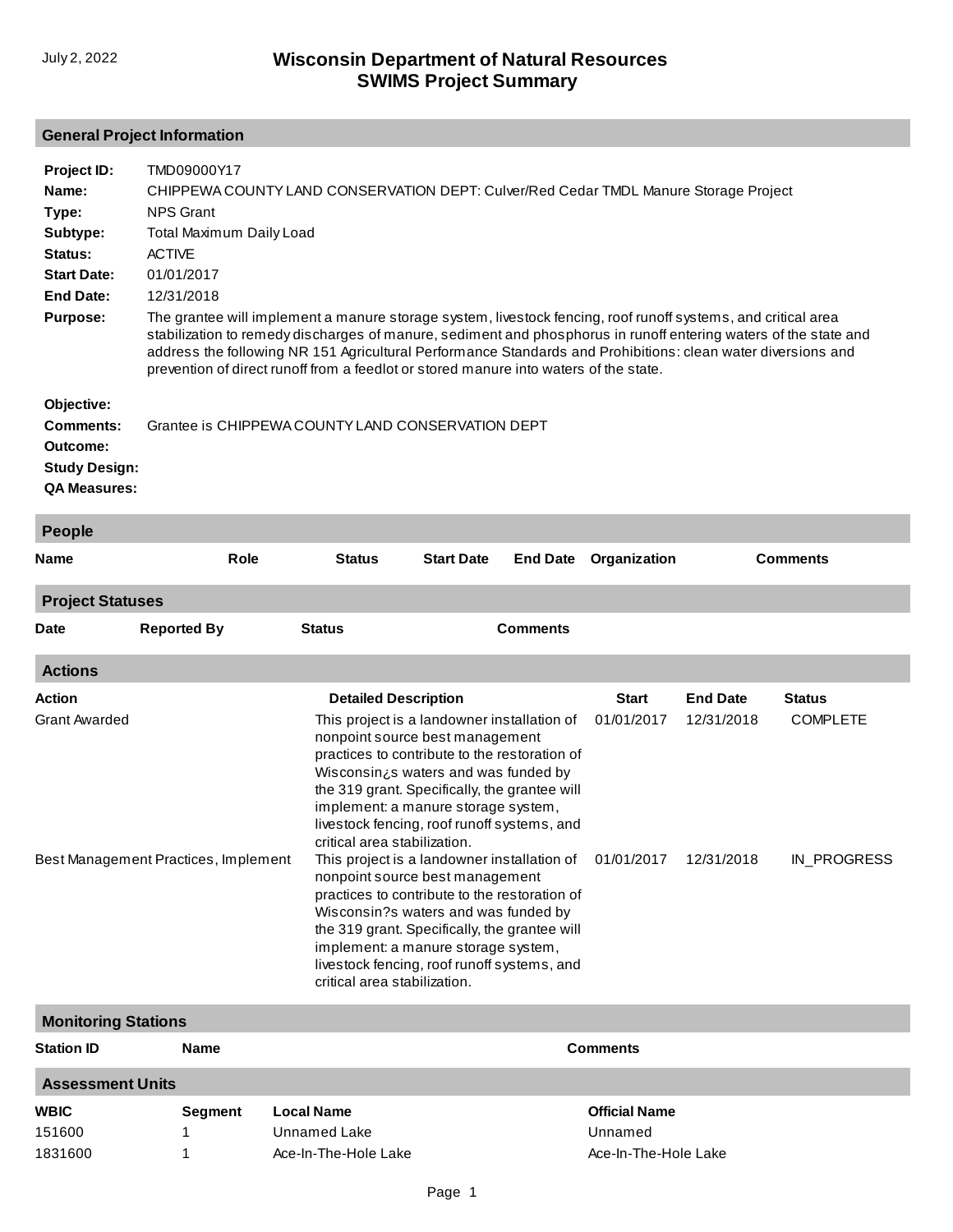## **General Project Information**

| Project ID:                | TMD09000Y17                                                                                                                                                                                                                                                                                                               |                                                                                      |                                                                                                                                                                                                                                                                                                                                                |                 |                       |                 |                 |  |
|----------------------------|---------------------------------------------------------------------------------------------------------------------------------------------------------------------------------------------------------------------------------------------------------------------------------------------------------------------------|--------------------------------------------------------------------------------------|------------------------------------------------------------------------------------------------------------------------------------------------------------------------------------------------------------------------------------------------------------------------------------------------------------------------------------------------|-----------------|-----------------------|-----------------|-----------------|--|
| Name:                      |                                                                                                                                                                                                                                                                                                                           | CHIPPEWA COUNTY LAND CONSERVATION DEPT: Culver/Red Cedar TMDL Manure Storage Project |                                                                                                                                                                                                                                                                                                                                                |                 |                       |                 |                 |  |
| Type:                      | <b>NPS Grant</b>                                                                                                                                                                                                                                                                                                          |                                                                                      |                                                                                                                                                                                                                                                                                                                                                |                 |                       |                 |                 |  |
| Subtype:                   | Total Maximum Daily Load                                                                                                                                                                                                                                                                                                  |                                                                                      |                                                                                                                                                                                                                                                                                                                                                |                 |                       |                 |                 |  |
| Status:                    | <b>ACTIVE</b>                                                                                                                                                                                                                                                                                                             |                                                                                      |                                                                                                                                                                                                                                                                                                                                                |                 |                       |                 |                 |  |
| <b>Start Date:</b>         | 01/01/2017                                                                                                                                                                                                                                                                                                                |                                                                                      |                                                                                                                                                                                                                                                                                                                                                |                 |                       |                 |                 |  |
| <b>End Date:</b>           | 12/31/2018                                                                                                                                                                                                                                                                                                                |                                                                                      |                                                                                                                                                                                                                                                                                                                                                |                 |                       |                 |                 |  |
| <b>Purpose:</b>            | The grantee will implement a manure storage system, livestock fencing, roof runoff systems, and critical area                                                                                                                                                                                                             |                                                                                      |                                                                                                                                                                                                                                                                                                                                                |                 |                       |                 |                 |  |
|                            | stabilization to remedy discharges of manure, sediment and phosphorus in runoff entering waters of the state and<br>address the following NR 151 Agricultural Performance Standards and Prohibitions: clean water diversions and<br>prevention of direct runoff from a feedlot or stored manure into waters of the state. |                                                                                      |                                                                                                                                                                                                                                                                                                                                                |                 |                       |                 |                 |  |
| Objective:                 |                                                                                                                                                                                                                                                                                                                           |                                                                                      |                                                                                                                                                                                                                                                                                                                                                |                 |                       |                 |                 |  |
| <b>Comments:</b>           |                                                                                                                                                                                                                                                                                                                           |                                                                                      | Grantee is CHIPPEWA COUNTY LAND CONSERVATION DEPT                                                                                                                                                                                                                                                                                              |                 |                       |                 |                 |  |
| Outcome:                   |                                                                                                                                                                                                                                                                                                                           |                                                                                      |                                                                                                                                                                                                                                                                                                                                                |                 |                       |                 |                 |  |
| <b>Study Design:</b>       |                                                                                                                                                                                                                                                                                                                           |                                                                                      |                                                                                                                                                                                                                                                                                                                                                |                 |                       |                 |                 |  |
| <b>QA Measures:</b>        |                                                                                                                                                                                                                                                                                                                           |                                                                                      |                                                                                                                                                                                                                                                                                                                                                |                 |                       |                 |                 |  |
| People                     |                                                                                                                                                                                                                                                                                                                           |                                                                                      |                                                                                                                                                                                                                                                                                                                                                |                 |                       |                 |                 |  |
| Name                       | <b>Role</b>                                                                                                                                                                                                                                                                                                               | <b>Status</b>                                                                        | <b>Start Date</b>                                                                                                                                                                                                                                                                                                                              | <b>End Date</b> | Organization          |                 | <b>Comments</b> |  |
| <b>Project Statuses</b>    |                                                                                                                                                                                                                                                                                                                           |                                                                                      |                                                                                                                                                                                                                                                                                                                                                |                 |                       |                 |                 |  |
| Date                       | <b>Reported By</b>                                                                                                                                                                                                                                                                                                        | <b>Status</b>                                                                        |                                                                                                                                                                                                                                                                                                                                                | <b>Comments</b> |                       |                 |                 |  |
| <b>Actions</b>             |                                                                                                                                                                                                                                                                                                                           |                                                                                      |                                                                                                                                                                                                                                                                                                                                                |                 |                       |                 |                 |  |
| Action                     |                                                                                                                                                                                                                                                                                                                           |                                                                                      | <b>Detailed Description</b>                                                                                                                                                                                                                                                                                                                    |                 | <b>Start</b>          | <b>End Date</b> | <b>Status</b>   |  |
| <b>Grant Awarded</b>       |                                                                                                                                                                                                                                                                                                                           |                                                                                      | This project is a landowner installation of<br>nonpoint source best management<br>practices to contribute to the restoration of<br>Wisconsin¿s waters and was funded by<br>the 319 grant. Specifically, the grantee will<br>implement: a manure storage system,<br>livestock fencing, roof runoff systems, and<br>critical area stabilization. |                 | 01/01/2017            | 12/31/2018      | <b>COMPLETE</b> |  |
|                            | Best Management Practices, Implement                                                                                                                                                                                                                                                                                      |                                                                                      | This project is a landowner installation of<br>nonpoint source best management<br>practices to contribute to the restoration of<br>Wisconsin?s waters and was funded by<br>the 319 grant. Specifically, the grantee will<br>implement: a manure storage system,<br>livestock fencing, roof runoff systems, and<br>critical area stabilization. |                 | 01/01/2017 12/31/2018 |                 | IN_PROGRESS     |  |
| <b>Monitoring Stations</b> |                                                                                                                                                                                                                                                                                                                           |                                                                                      |                                                                                                                                                                                                                                                                                                                                                |                 |                       |                 |                 |  |
| <b>Station ID</b>          | <b>Name</b>                                                                                                                                                                                                                                                                                                               |                                                                                      |                                                                                                                                                                                                                                                                                                                                                |                 | <b>Comments</b>       |                 |                 |  |
| <b>Assessment Units</b>    |                                                                                                                                                                                                                                                                                                                           |                                                                                      |                                                                                                                                                                                                                                                                                                                                                |                 |                       |                 |                 |  |
| <b>WBIC</b>                | <b>Segment</b>                                                                                                                                                                                                                                                                                                            | <b>Local Name</b>                                                                    |                                                                                                                                                                                                                                                                                                                                                |                 | <b>Official Name</b>  |                 |                 |  |
| 151600                     |                                                                                                                                                                                                                                                                                                                           | Unnamed Lake                                                                         |                                                                                                                                                                                                                                                                                                                                                |                 | Unnamed               |                 |                 |  |
| 1831600                    | 1                                                                                                                                                                                                                                                                                                                         | Ace-In-The-Hole Lake                                                                 |                                                                                                                                                                                                                                                                                                                                                |                 | Ace-In-The-Hole Lake  |                 |                 |  |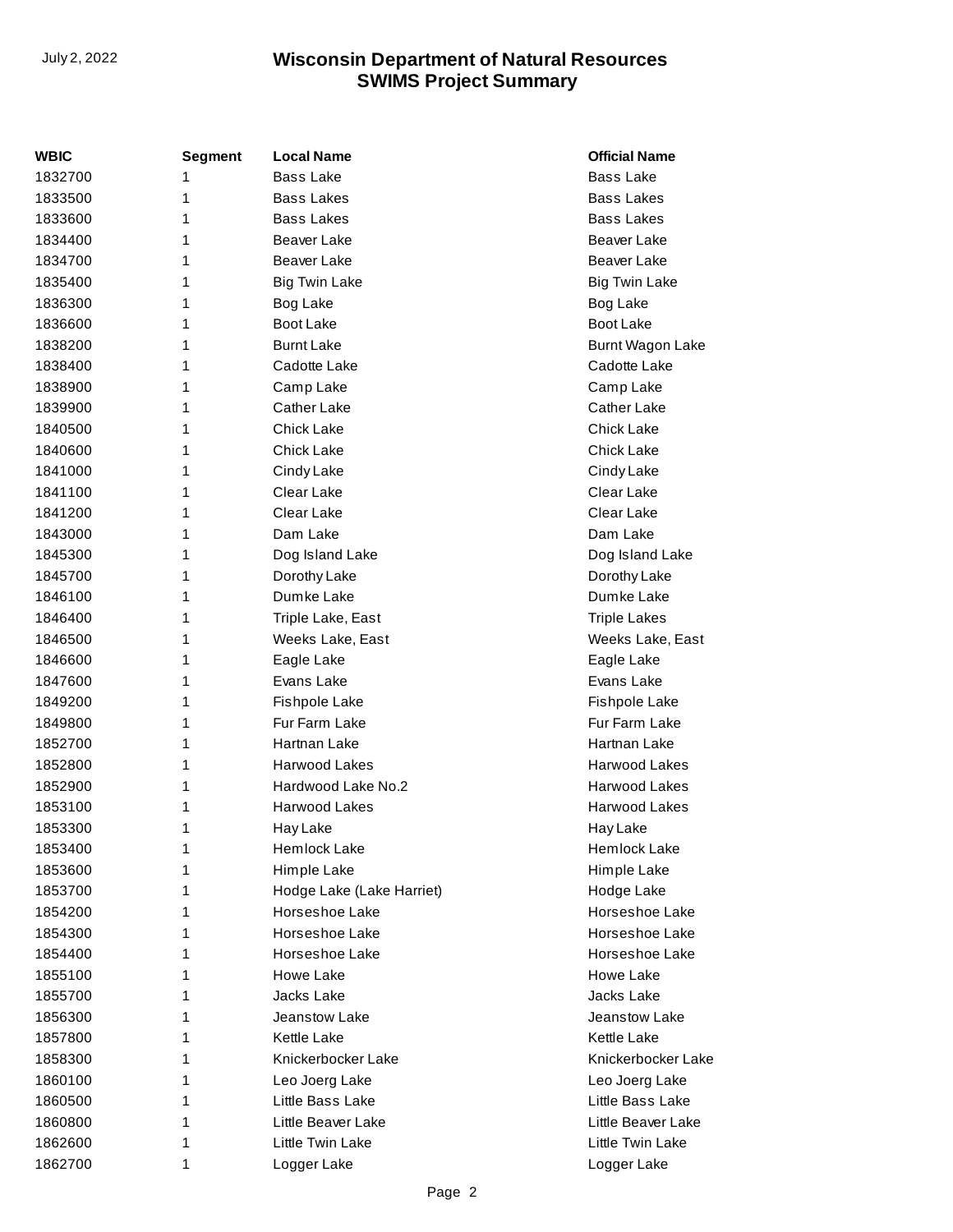| WBIC    | <b>Segment</b> | <b>Local Name</b>         | <b>Official Name</b> |
|---------|----------------|---------------------------|----------------------|
| 1832700 | 1              | <b>Bass Lake</b>          | <b>Bass Lake</b>     |
| 1833500 | 1              | <b>Bass Lakes</b>         | <b>Bass Lakes</b>    |
| 1833600 | 1              | <b>Bass Lakes</b>         | Bass Lakes           |
| 1834400 | 1              | Beaver Lake               | Beaver Lake          |
| 1834700 | 1              | <b>Beaver Lake</b>        | Beaver Lake          |
| 1835400 | 1              | <b>Big Twin Lake</b>      | <b>Big Twin Lake</b> |
| 1836300 | 1              | Bog Lake                  | Bog Lake             |
| 1836600 | 1              | Boot Lake                 | Boot Lake            |
| 1838200 | 1              | <b>Burnt Lake</b>         | Burnt Wagon Lake     |
| 1838400 | 1              | Cadotte Lake              | Cadotte Lake         |
| 1838900 | 1              | Camp Lake                 | Camp Lake            |
| 1839900 | 1              | Cather Lake               | Cather Lake          |
| 1840500 | 1              | <b>Chick Lake</b>         | <b>Chick Lake</b>    |
| 1840600 | 1              | <b>Chick Lake</b>         | <b>Chick Lake</b>    |
| 1841000 | 1              | Cindy Lake                | Cindy Lake           |
| 1841100 | 1              | Clear Lake                | Clear Lake           |
| 1841200 | 1              | Clear Lake                | Clear Lake           |
| 1843000 | 1              | Dam Lake                  | Dam Lake             |
| 1845300 | 1              | Dog Island Lake           | Dog Island Lake      |
| 1845700 | 1              | Dorothy Lake              | Dorothy Lake         |
| 1846100 | 1              | Dumke Lake                | Dumke Lake           |
| 1846400 | 1              | Triple Lake, East         | <b>Triple Lakes</b>  |
| 1846500 | 1              | Weeks Lake, East          | Weeks Lake, East     |
| 1846600 | 1              | Eagle Lake                | Eagle Lake           |
| 1847600 | 1              | Evans Lake                | Evans Lake           |
| 1849200 | 1              | Fishpole Lake             | Fishpole Lake        |
| 1849800 | 1              | Fur Farm Lake             | Fur Farm Lake        |
| 1852700 | 1              | Hartnan Lake              | Hartnan Lake         |
| 1852800 | 1              | Harwood Lakes             | <b>Harwood Lakes</b> |
| 1852900 | 1              | Hardwood Lake No.2        | <b>Harwood Lakes</b> |
| 1853100 | 1              | <b>Harwood Lakes</b>      | <b>Harwood Lakes</b> |
| 1853300 | 1              | Hay Lake                  | Hay Lake             |
| 1853400 | 1              | <b>Hemlock Lake</b>       | <b>Hemlock Lake</b>  |
| 1853600 | 1              | Himple Lake               | Himple Lake          |
| 1853700 | 1              | Hodge Lake (Lake Harriet) | Hodge Lake           |
| 1854200 | 1              | Horseshoe Lake            | Horseshoe Lake       |
| 1854300 | 1              | Horseshoe Lake            | Horseshoe Lake       |
| 1854400 | 1              | Horseshoe Lake            | Horseshoe Lake       |
| 1855100 | 1              | Howe Lake                 | Howe Lake            |
| 1855700 | 1              | Jacks Lake                | Jacks Lake           |
| 1856300 | 1              | Jeanstow Lake             | Jeanstow Lake        |
| 1857800 | 1              | <b>Kettle Lake</b>        | <b>Kettle Lake</b>   |
| 1858300 | 1              | Knickerbocker Lake        | Knickerbocker Lake   |
| 1860100 | 1              | Leo Joerg Lake            | Leo Joerg Lake       |
| 1860500 | 1              | Little Bass Lake          | Little Bass Lake     |
| 1860800 | 1              | Little Beaver Lake        | Little Beaver Lake   |
| 1862600 | 1              | Little Twin Lake          | Little Twin Lake     |
| 1862700 | 1              | Logger Lake               | Logger Lake          |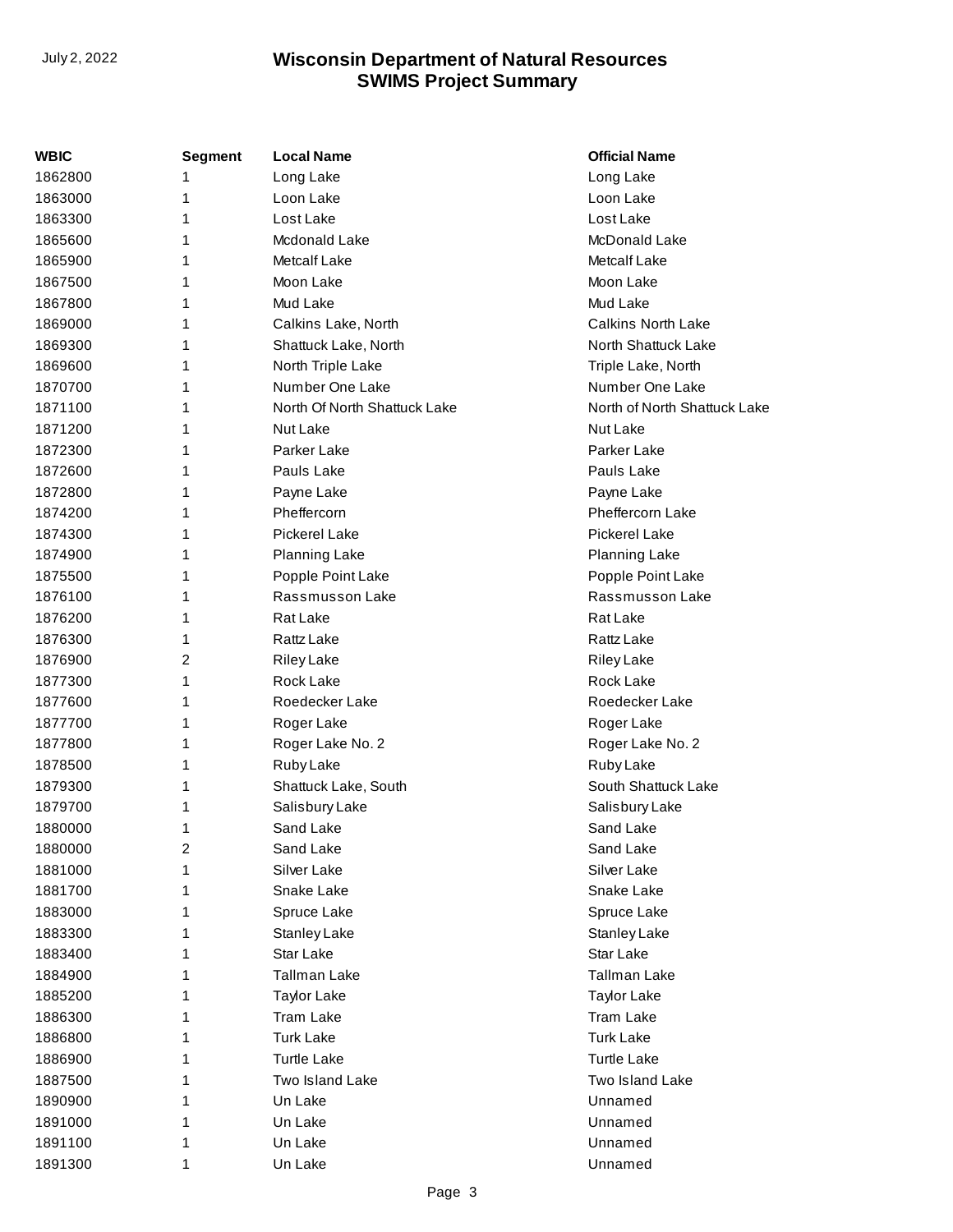| WBIC    | <b>Segment</b> | <b>Local Name</b>            | <b>Official Name</b>         |
|---------|----------------|------------------------------|------------------------------|
| 1862800 | 1              | Long Lake                    | Long Lake                    |
| 1863000 | 1              | Loon Lake                    | Loon Lake                    |
| 1863300 | 1              | Lost Lake                    | Lost Lake                    |
| 1865600 | 1              | Mcdonald Lake                | McDonald Lake                |
| 1865900 | 1              | Metcalf Lake                 | <b>Metcalf Lake</b>          |
| 1867500 | 1              | Moon Lake                    | Moon Lake                    |
| 1867800 | 1              | Mud Lake                     | Mud Lake                     |
| 1869000 | 1              | Calkins Lake, North          | <b>Calkins North Lake</b>    |
| 1869300 | 1              | Shattuck Lake, North         | North Shattuck Lake          |
| 1869600 | 1              | North Triple Lake            | Triple Lake, North           |
| 1870700 | 1              | Number One Lake              | Number One Lake              |
| 1871100 | 1              | North Of North Shattuck Lake | North of North Shattuck Lake |
| 1871200 | 1              | Nut Lake                     | Nut Lake                     |
| 1872300 | 1              | Parker Lake                  | Parker Lake                  |
| 1872600 | 1              | Pauls Lake                   | Pauls Lake                   |
| 1872800 | 1              | Payne Lake                   | Payne Lake                   |
| 1874200 | 1              | Pheffercorn                  | <b>Pheffercorn Lake</b>      |
| 1874300 | 1              | <b>Pickerel Lake</b>         | <b>Pickerel Lake</b>         |
| 1874900 | 1              | Planning Lake                | Planning Lake                |
| 1875500 | 1              | Popple Point Lake            | Popple Point Lake            |
| 1876100 | 1              | Rassmusson Lake              | Rassmusson Lake              |
| 1876200 | 1              | Rat Lake                     | Rat Lake                     |
| 1876300 | 1              | Rattz Lake                   | Rattz Lake                   |
| 1876900 | 2              | <b>Riley Lake</b>            | <b>Riley Lake</b>            |
| 1877300 | 1              | Rock Lake                    | Rock Lake                    |
| 1877600 | 1              | Roedecker Lake               | Roedecker Lake               |
| 1877700 | 1              | Roger Lake                   | Roger Lake                   |
| 1877800 | 1              | Roger Lake No. 2             | Roger Lake No. 2             |
| 1878500 | 1              | Ruby Lake                    | <b>Ruby Lake</b>             |
| 1879300 | 1              | Shattuck Lake, South         | South Shattuck Lake          |
| 1879700 | 1              | Salisbury Lake               | Salisbury Lake               |
| 1880000 | 1              | Sand Lake                    | Sand Lake                    |
| 1880000 | 2              | Sand Lake                    | Sand Lake                    |
| 1881000 | 1              | Silver Lake                  | Silver Lake                  |
| 1881700 |                | Snake Lake                   | Snake Lake                   |
| 1883000 | 1              | Spruce Lake                  | Spruce Lake                  |
| 1883300 | 1              | Stanley Lake                 | Stanley Lake                 |
| 1883400 |                | Star Lake                    | Star Lake                    |
| 1884900 | 1              | <b>Tallman Lake</b>          | <b>Tallman Lake</b>          |
| 1885200 | 1              | <b>Taylor Lake</b>           | <b>Taylor Lake</b>           |
| 1886300 |                | Tram Lake                    | Tram Lake                    |
| 1886800 | 1              | <b>Turk Lake</b>             | <b>Turk Lake</b>             |
| 1886900 | 1              | <b>Turtle Lake</b>           | <b>Turtle Lake</b>           |
| 1887500 |                | Two Island Lake              | Two Island Lake              |
| 1890900 |                | Un Lake                      | Unnamed                      |
| 1891000 | 1              | Un Lake                      | Unnamed                      |
| 1891100 | 1              | Un Lake                      | Unnamed                      |
| 1891300 | 1              | Un Lake                      | Unnamed                      |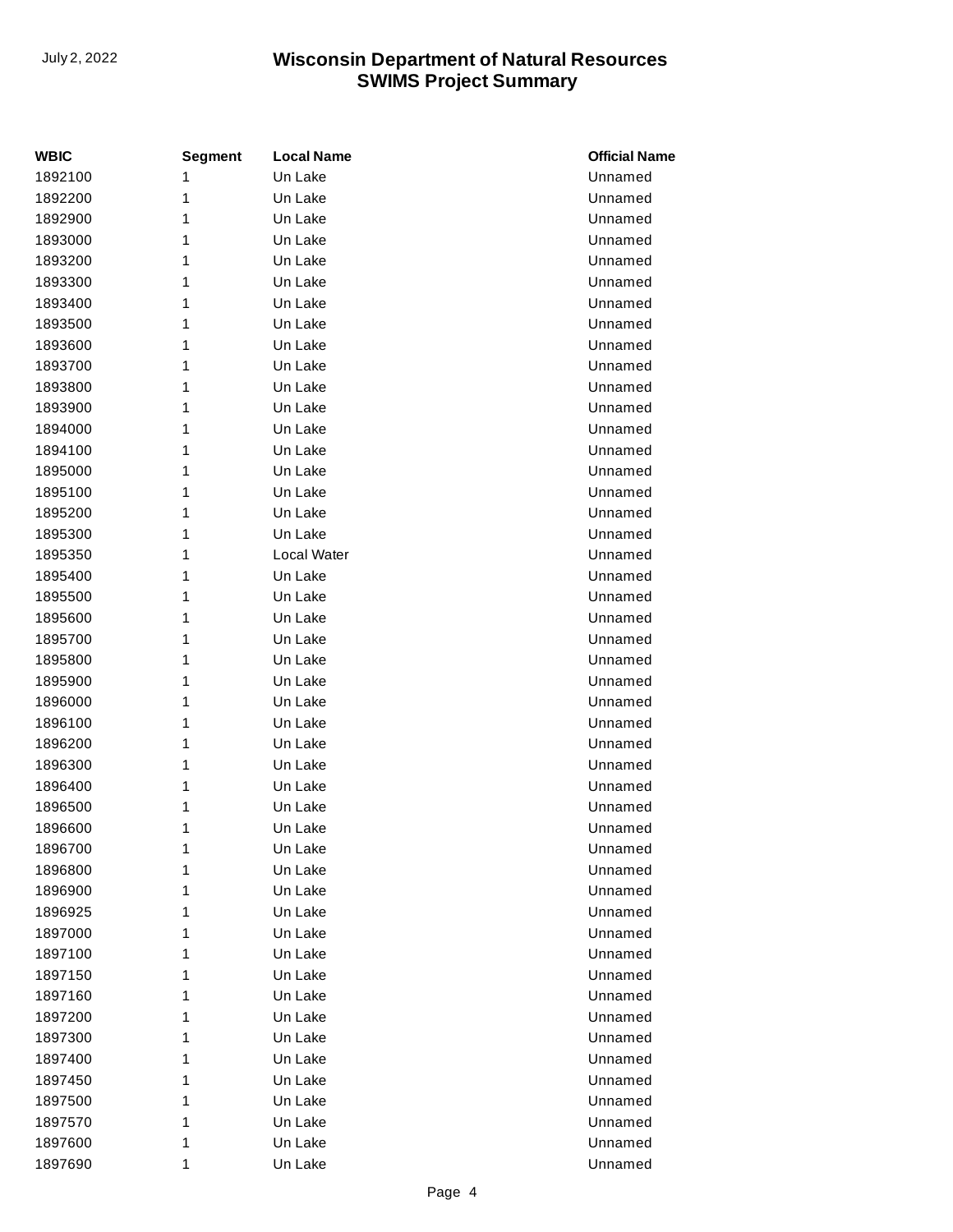| WBIC    | <b>Segment</b> | <b>Local Name</b> | <b>Official Name</b> |
|---------|----------------|-------------------|----------------------|
| 1892100 | 1              | Un Lake           | Unnamed              |
| 1892200 | 1              | Un Lake           | Unnamed              |
| 1892900 | 1              | Un Lake           | Unnamed              |
| 1893000 | 1              | Un Lake           | Unnamed              |
| 1893200 | 1              | Un Lake           | Unnamed              |
| 1893300 | 1              | Un Lake           | Unnamed              |
| 1893400 | 1              | Un Lake           | Unnamed              |
| 1893500 | 1              | Un Lake           | Unnamed              |
| 1893600 | 1              | Un Lake           | Unnamed              |
| 1893700 | 1              | Un Lake           | Unnamed              |
| 1893800 | 1              | Un Lake           | Unnamed              |
| 1893900 | 1              | Un Lake           | Unnamed              |
| 1894000 | 1              | Un Lake           | Unnamed              |
| 1894100 | 1              | Un Lake           | Unnamed              |
| 1895000 | 1              | Un Lake           | Unnamed              |
| 1895100 | 1              | Un Lake           | Unnamed              |
| 1895200 | 1              | Un Lake           | Unnamed              |
| 1895300 | 1              | Un Lake           | Unnamed              |
| 1895350 | 1              | Local Water       | Unnamed              |
| 1895400 | 1              | Un Lake           | Unnamed              |
| 1895500 | 1              | Un Lake           | Unnamed              |
| 1895600 | 1              | Un Lake           | Unnamed              |
| 1895700 | 1              | Un Lake           | Unnamed              |
| 1895800 | 1              | Un Lake           | Unnamed              |
| 1895900 | 1              | Un Lake           | Unnamed              |
| 1896000 | 1              | Un Lake           | Unnamed              |
| 1896100 | 1              | Un Lake           | Unnamed              |
| 1896200 | 1              | Un Lake           | Unnamed              |
| 1896300 | 1              | Un Lake           | Unnamed              |
| 1896400 | 1              | Un Lake           | Unnamed              |
| 1896500 | 1              | Un Lake           | Unnamed              |
| 1896600 | 1              | Un Lake           | Unnamed              |
| 1896700 | 1              | Un Lake           | Unnamed              |
| 1896800 | 1              | Un Lake           | Unnamed              |
| 1896900 | 1              | Un Lake           | Unnamed              |
| 1896925 | 1              | Un Lake           | Unnamed              |
| 1897000 | 1              | Un Lake           | Unnamed              |
| 1897100 | 1              | Un Lake           | Unnamed              |
| 1897150 | 1              | Un Lake           | Unnamed              |
| 1897160 | 1              | Un Lake           | Unnamed              |
| 1897200 | 1              | Un Lake           | Unnamed              |
| 1897300 | 1              | Un Lake           | Unnamed              |
| 1897400 | 1              | Un Lake           | Unnamed              |
| 1897450 | 1              | Un Lake           | Unnamed              |
| 1897500 | 1              | Un Lake           | Unnamed              |
| 1897570 | 1              | Un Lake           | Unnamed              |
| 1897600 | 1              | Un Lake           | Unnamed              |
| 1897690 | 1              | Un Lake           | Unnamed              |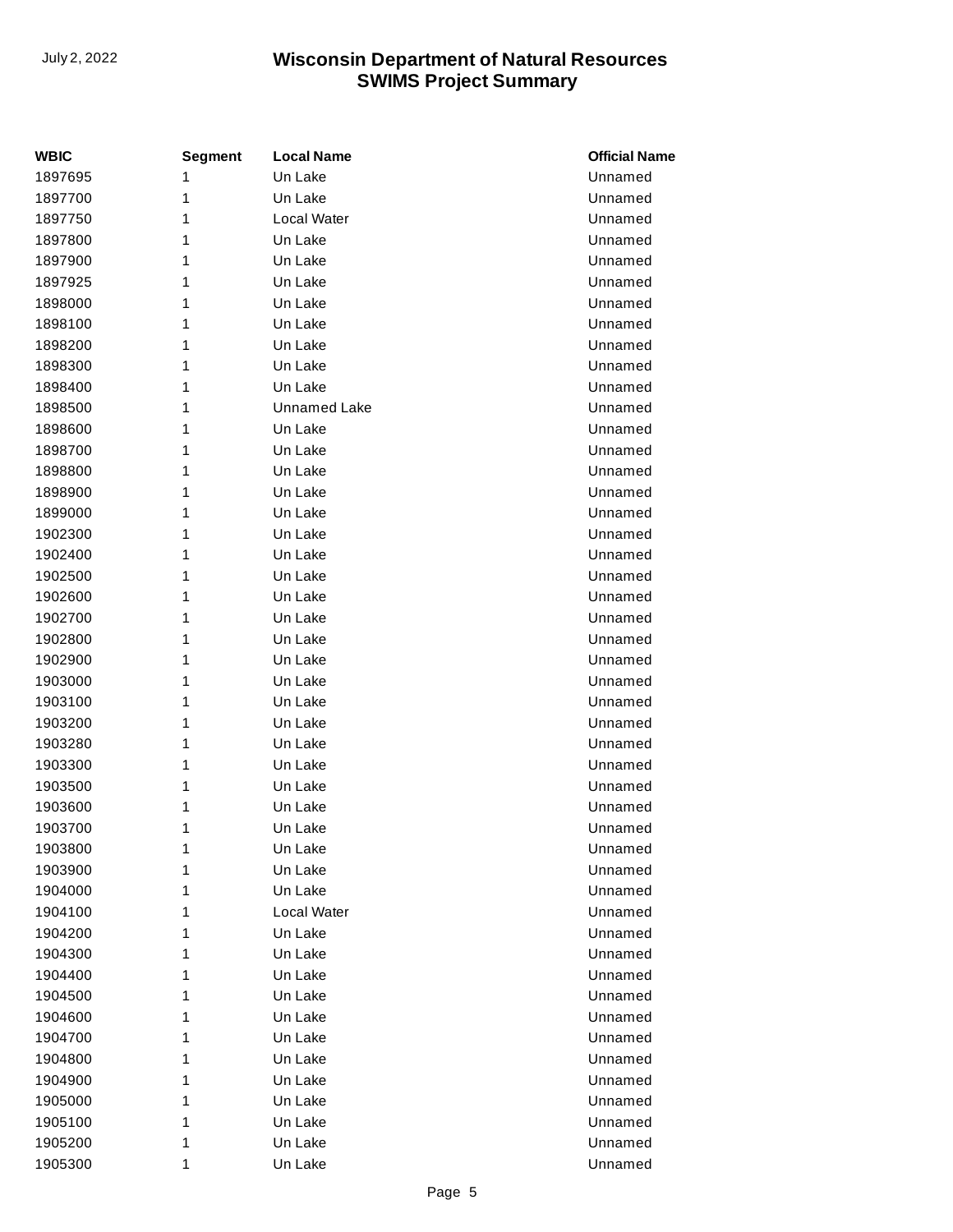| <b>WBIC</b> | <b>Segment</b> | <b>Local Name</b> | <b>Official Name</b> |
|-------------|----------------|-------------------|----------------------|
| 1897695     | 1              | Un Lake           | Unnamed              |
| 1897700     | 1              | Un Lake           | Unnamed              |
| 1897750     | 1              | Local Water       | Unnamed              |
| 1897800     | 1              | Un Lake           | Unnamed              |
| 1897900     | 1              | Un Lake           | Unnamed              |
| 1897925     | 1              | Un Lake           | Unnamed              |
| 1898000     | 1              | Un Lake           | Unnamed              |
| 1898100     | 1              | Un Lake           | Unnamed              |
| 1898200     | 1              | Un Lake           | Unnamed              |
| 1898300     | 1              | Un Lake           | Unnamed              |
| 1898400     | 1              | Un Lake           | Unnamed              |
| 1898500     | 1              | Unnamed Lake      | Unnamed              |
| 1898600     | 1              | Un Lake           | Unnamed              |
| 1898700     | 1              | Un Lake           | Unnamed              |
| 1898800     | 1              | Un Lake           | Unnamed              |
| 1898900     | 1              | Un Lake           | Unnamed              |
| 1899000     | 1              | Un Lake           | Unnamed              |
| 1902300     | 1              | Un Lake           | Unnamed              |
| 1902400     | 1              | Un Lake           | Unnamed              |
| 1902500     | 1              | Un Lake           | Unnamed              |
| 1902600     | 1              | Un Lake           | Unnamed              |
| 1902700     | 1              | Un Lake           | Unnamed              |
| 1902800     | 1              | Un Lake           | Unnamed              |
| 1902900     | 1              | Un Lake           | Unnamed              |
| 1903000     | 1              | Un Lake           | Unnamed              |
| 1903100     | 1              | Un Lake           | Unnamed              |
| 1903200     | 1              | Un Lake           | Unnamed              |
| 1903280     | 1              | Un Lake           | Unnamed              |
| 1903300     | 1              | Un Lake           | Unnamed              |
| 1903500     | 1              | Un Lake           | Unnamed              |
| 1903600     | 1              | Un Lake           | Unnamed              |
| 1903700     | 1              | Un Lake           | Unnamed              |
| 1903800     | 1              | Un Lake           | Unnamed              |
| 1903900     | 1              | Un Lake           | Unnamed              |
| 1904000     | 1              | Un Lake           | Unnamed              |
| 1904100     | 1              | Local Water       | Unnamed              |
| 1904200     | 1              | Un Lake           | Unnamed              |
| 1904300     | 1              | Un Lake           | Unnamed              |
| 1904400     | 1              | Un Lake           | Unnamed              |
| 1904500     | 1              | Un Lake           | Unnamed              |
| 1904600     | 1              | Un Lake           | Unnamed              |
| 1904700     | 1              | Un Lake           | Unnamed              |
| 1904800     | 1              | Un Lake           | Unnamed              |
| 1904900     | 1              | Un Lake           | Unnamed              |
| 1905000     | 1              | Un Lake           | Unnamed              |
| 1905100     | 1              | Un Lake           | Unnamed              |
| 1905200     | 1              | Un Lake           | Unnamed              |
| 1905300     | 1              | Un Lake           | Unnamed              |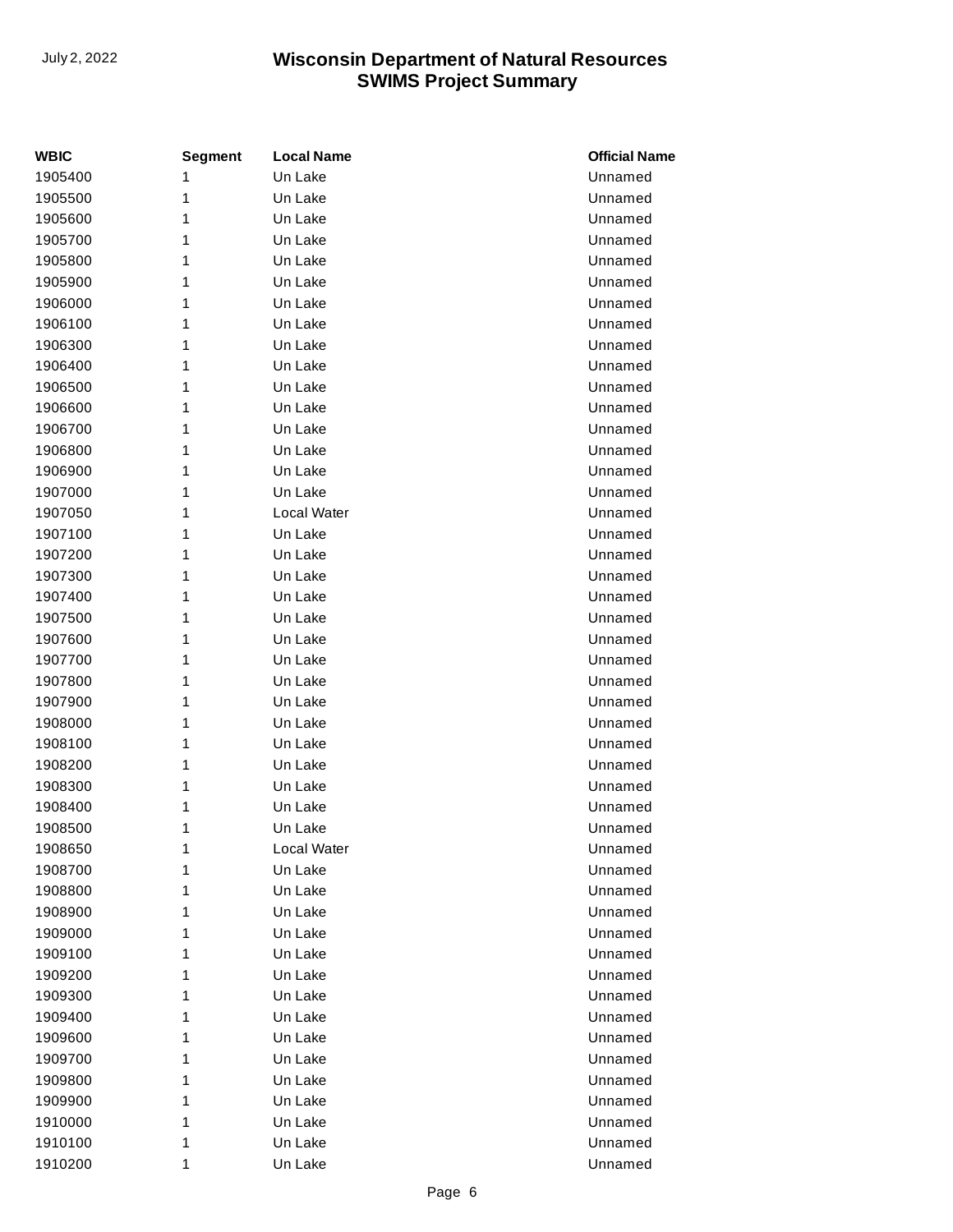| WBIC    | <b>Segment</b> | <b>Local Name</b> | <b>Official Name</b> |
|---------|----------------|-------------------|----------------------|
| 1905400 | 1              | Un Lake           | Unnamed              |
| 1905500 | 1              | Un Lake           | Unnamed              |
| 1905600 | 1              | Un Lake           | Unnamed              |
| 1905700 | 1              | Un Lake           | Unnamed              |
| 1905800 | 1              | Un Lake           | Unnamed              |
| 1905900 | 1              | Un Lake           | Unnamed              |
| 1906000 | 1              | Un Lake           | Unnamed              |
| 1906100 | 1              | Un Lake           | Unnamed              |
| 1906300 | 1              | Un Lake           | Unnamed              |
| 1906400 | 1              | Un Lake           | Unnamed              |
| 1906500 | 1              | Un Lake           | Unnamed              |
| 1906600 | 1              | Un Lake           | Unnamed              |
| 1906700 | 1              | Un Lake           | Unnamed              |
| 1906800 | 1              | Un Lake           | Unnamed              |
| 1906900 | 1              | Un Lake           | Unnamed              |
| 1907000 | 1              | Un Lake           | Unnamed              |
| 1907050 | 1              | Local Water       | Unnamed              |
| 1907100 | 1              | Un Lake           | Unnamed              |
| 1907200 | 1              | Un Lake           | Unnamed              |
| 1907300 | 1              | Un Lake           | Unnamed              |
| 1907400 | 1              | Un Lake           | Unnamed              |
| 1907500 | 1              | Un Lake           | Unnamed              |
| 1907600 | 1              | Un Lake           | Unnamed              |
| 1907700 | 1              | Un Lake           | Unnamed              |
| 1907800 | 1              | Un Lake           | Unnamed              |
| 1907900 | 1              | Un Lake           | Unnamed              |
| 1908000 | 1              | Un Lake           | Unnamed              |
| 1908100 | 1              | Un Lake           | Unnamed              |
| 1908200 | 1              | Un Lake           | Unnamed              |
| 1908300 | 1              | Un Lake           | Unnamed              |
| 1908400 | 1              | Un Lake           | Unnamed              |
| 1908500 | 1              | Un Lake           | Unnamed              |
| 1908650 | 1              | Local Water       | Unnamed              |
| 1908700 | 1              | Un Lake           | Unnamed              |
| 1908800 | 1              | Un Lake           | Unnamed              |
| 1908900 | 1              | Un Lake           | Unnamed              |
| 1909000 | 1              | Un Lake           | Unnamed              |
| 1909100 | 1              | Un Lake           | Unnamed              |
| 1909200 | 1              | Un Lake           | Unnamed              |
| 1909300 | 1              | Un Lake           | Unnamed              |
| 1909400 | 1              | Un Lake           | Unnamed              |
| 1909600 | 1              | Un Lake           | Unnamed              |
| 1909700 | 1              | Un Lake           | Unnamed              |
| 1909800 | 1              | Un Lake           | Unnamed              |
| 1909900 | 1              | Un Lake           | Unnamed              |
| 1910000 | 1              | Un Lake           | Unnamed              |
| 1910100 | 1              | Un Lake           | Unnamed              |
| 1910200 | 1              | Un Lake           | Unnamed              |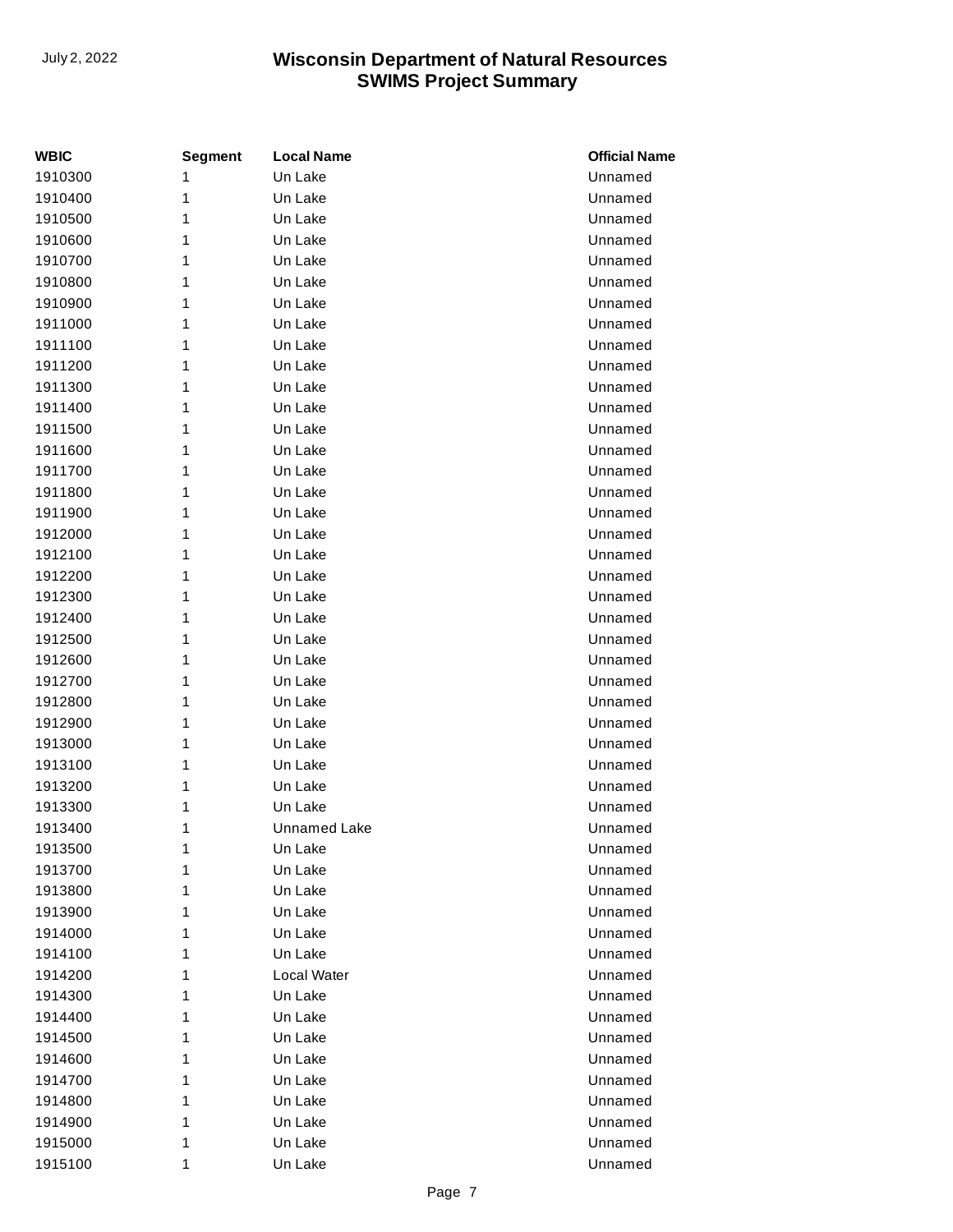| WBIC               | <b>Segment</b> | <b>Local Name</b>   | <b>Official Name</b> |
|--------------------|----------------|---------------------|----------------------|
| 1910300            | 1              | Un Lake             | Unnamed              |
| 1910400            | 1              | Un Lake             | Unnamed              |
| 1910500            | 1              | Un Lake             | Unnamed              |
| 1910600            | 1              | Un Lake             | Unnamed              |
| 1910700            | 1              | Un Lake             | Unnamed              |
| 1910800            | 1              | Un Lake             | Unnamed              |
| 1910900            | 1              | Un Lake             | Unnamed              |
| 1911000            | 1              | Un Lake             | Unnamed              |
| 1911100            | 1              | Un Lake             | Unnamed              |
| 1911200            | 1              | Un Lake             | Unnamed              |
| 1911300            | 1              | Un Lake             | Unnamed              |
| 1911400            | 1              | Un Lake             | Unnamed              |
| 1911500            | 1              | Un Lake             | Unnamed              |
| 1911600            | 1              | Un Lake             | Unnamed              |
| 1911700            | 1              | Un Lake             | Unnamed              |
| 1911800            | 1              | Un Lake             | Unnamed              |
| 1911900            | 1              | Un Lake             | Unnamed              |
| 1912000            | 1              | Un Lake             | Unnamed              |
| 1912100            | 1              | Un Lake             | Unnamed              |
| 1912200            | 1              | Un Lake             | Unnamed              |
| 1912300            | 1              | Un Lake             | Unnamed              |
| 1912400            | 1              | Un Lake             | Unnamed              |
| 1912500            | 1              | Un Lake             | Unnamed              |
| 1912600            | 1              | Un Lake             | Unnamed              |
| 1912700            | 1              | Un Lake             | Unnamed              |
| 1912800            | 1              | Un Lake             | Unnamed              |
| 1912900            | 1              | Un Lake             | Unnamed              |
| 1913000            | 1              | Un Lake             | Unnamed              |
| 1913100            | 1              | Un Lake             | Unnamed              |
| 1913200            | 1<br>1         | Un Lake<br>Un Lake  | Unnamed<br>Unnamed   |
| 1913300<br>1913400 | 1              | <b>Unnamed Lake</b> | Unnamed              |
|                    |                |                     |                      |
| 1913500<br>1913700 | 1<br>1         | Un Lake<br>Un Lake  | Unnamed<br>Unnamed   |
| 1913800            | 1              | Un Lake             | Unnamed              |
| 1913900            | 1              | Un Lake             | Unnamed              |
| 1914000            | 1              | Un Lake             | Unnamed              |
| 1914100            | 1              | Un Lake             | Unnamed              |
| 1914200            | 1              | <b>Local Water</b>  | Unnamed              |
| 1914300            | 1              | Un Lake             | Unnamed              |
| 1914400            | 1              | Un Lake             | Unnamed              |
| 1914500            | 1              | Un Lake             | Unnamed              |
| 1914600            | 1              | Un Lake             | Unnamed              |
| 1914700            | 1              | Un Lake             | Unnamed              |
| 1914800            | 1              | Un Lake             | Unnamed              |
| 1914900            | 1              | Un Lake             | Unnamed              |
| 1915000            | 1              | Un Lake             | Unnamed              |
| 1915100            | 1              | Un Lake             | Unnamed              |
|                    |                |                     |                      |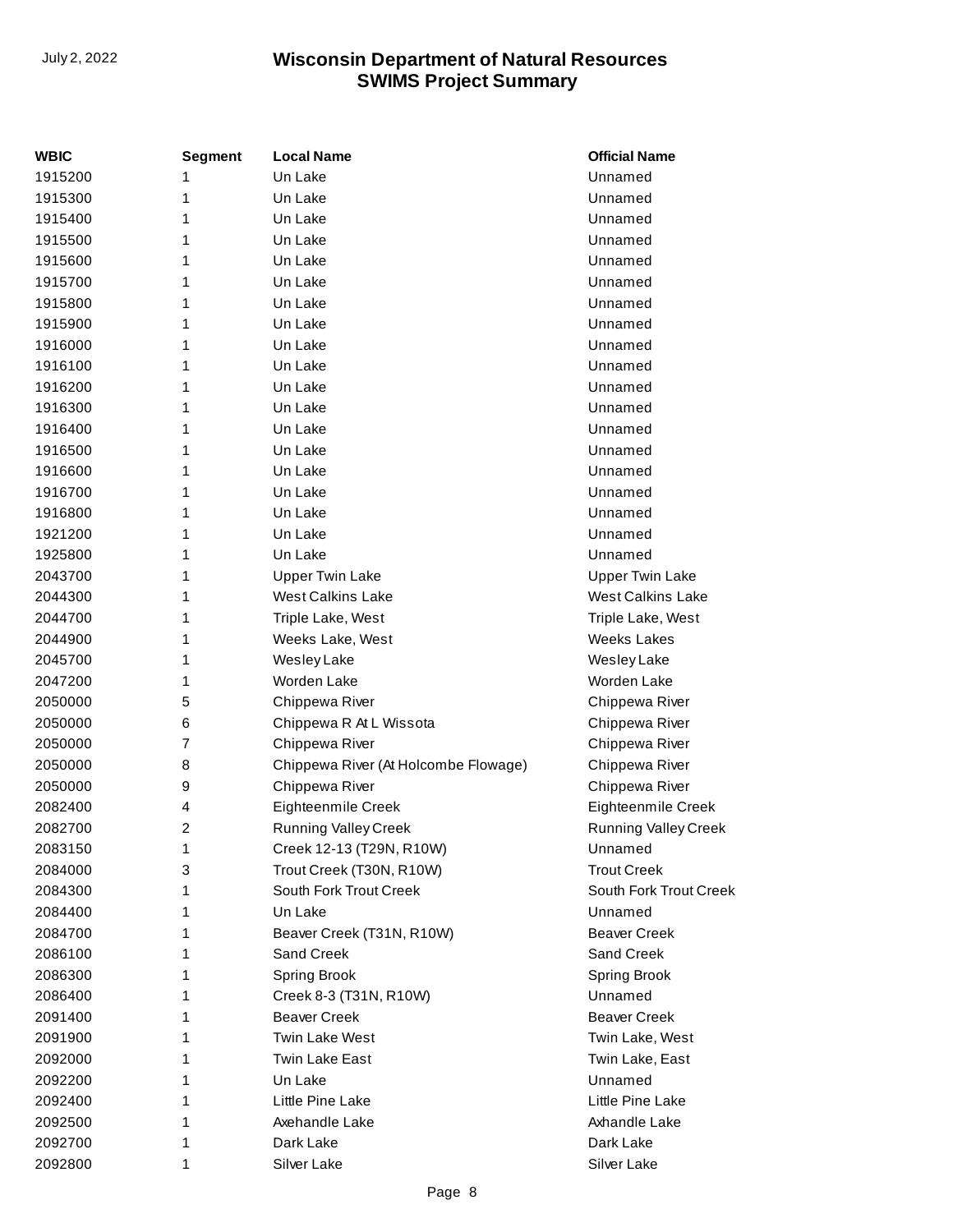| <b>WBIC</b> | <b>Segment</b> | <b>Local Name</b>                    | <b>Official Name</b>        |
|-------------|----------------|--------------------------------------|-----------------------------|
| 1915200     | 1              | Un Lake                              | Unnamed                     |
| 1915300     | 1              | Un Lake                              | Unnamed                     |
| 1915400     | 1              | Un Lake                              | Unnamed                     |
| 1915500     | 1              | Un Lake                              | Unnamed                     |
| 1915600     | 1              | Un Lake                              | Unnamed                     |
| 1915700     | 1              | Un Lake                              | Unnamed                     |
| 1915800     | 1              | Un Lake                              | Unnamed                     |
| 1915900     | 1              | Un Lake                              | Unnamed                     |
| 1916000     | 1              | Un Lake                              | Unnamed                     |
| 1916100     | 1              | Un Lake                              | Unnamed                     |
| 1916200     | 1              | Un Lake                              | Unnamed                     |
| 1916300     | 1              | Un Lake                              | Unnamed                     |
| 1916400     | 1              | Un Lake                              | Unnamed                     |
| 1916500     | 1              | Un Lake                              | Unnamed                     |
| 1916600     | 1              | Un Lake                              | Unnamed                     |
| 1916700     | 1              | Un Lake                              | Unnamed                     |
| 1916800     | 1              | Un Lake                              | Unnamed                     |
| 1921200     | 1              | Un Lake                              | Unnamed                     |
| 1925800     | 1              | Un Lake                              | Unnamed                     |
| 2043700     | 1              | <b>Upper Twin Lake</b>               | <b>Upper Twin Lake</b>      |
| 2044300     | 1              | <b>West Calkins Lake</b>             | <b>West Calkins Lake</b>    |
| 2044700     | 1              | Triple Lake, West                    | Triple Lake, West           |
| 2044900     | 1              | Weeks Lake, West                     | <b>Weeks Lakes</b>          |
| 2045700     | 1              | Wesley Lake                          | Wesley Lake                 |
| 2047200     | 1              | Worden Lake                          | Worden Lake                 |
| 2050000     | 5              | Chippewa River                       | Chippewa River              |
| 2050000     | 6              | Chippewa R At L Wissota              | Chippewa River              |
| 2050000     | 7              | Chippewa River                       | Chippewa River              |
| 2050000     | 8              | Chippewa River (At Holcombe Flowage) | Chippewa River              |
| 2050000     | 9              | Chippewa River                       | Chippewa River              |
| 2082400     | 4              | Eighteenmile Creek                   | Eighteenmile Creek          |
| 2082700     | $\overline{c}$ | <b>Running Valley Creek</b>          | <b>Running Valley Creek</b> |
| 2083150     | 1              | Creek 12-13 (T29N, R10W)             | Unnamed                     |
| 2084000     | 3              | Trout Creek (T30N, R10W)             | <b>Trout Creek</b>          |
| 2084300     | 1              | South Fork Trout Creek               | South Fork Trout Creek      |
| 2084400     | 1              | Un Lake                              | Unnamed                     |
| 2084700     | 1              | Beaver Creek (T31N, R10W)            | <b>Beaver Creek</b>         |
| 2086100     | 1              | Sand Creek                           | Sand Creek                  |
| 2086300     | 1              | <b>Spring Brook</b>                  | Spring Brook                |
| 2086400     | 1              | Creek 8-3 (T31N, R10W)               | Unnamed                     |
| 2091400     | 1              | <b>Beaver Creek</b>                  | <b>Beaver Creek</b>         |
| 2091900     | 1              | <b>Twin Lake West</b>                | Twin Lake, West             |
| 2092000     | 1              | <b>Twin Lake East</b>                | Twin Lake, East             |
| 2092200     | 1              | Un Lake                              | Unnamed                     |
| 2092400     | 1              | Little Pine Lake                     | Little Pine Lake            |
| 2092500     | 1              | Axehandle Lake                       | Axhandle Lake               |
| 2092700     | 1              | Dark Lake                            | Dark Lake                   |
| 2092800     | 1              | Silver Lake                          | Silver Lake                 |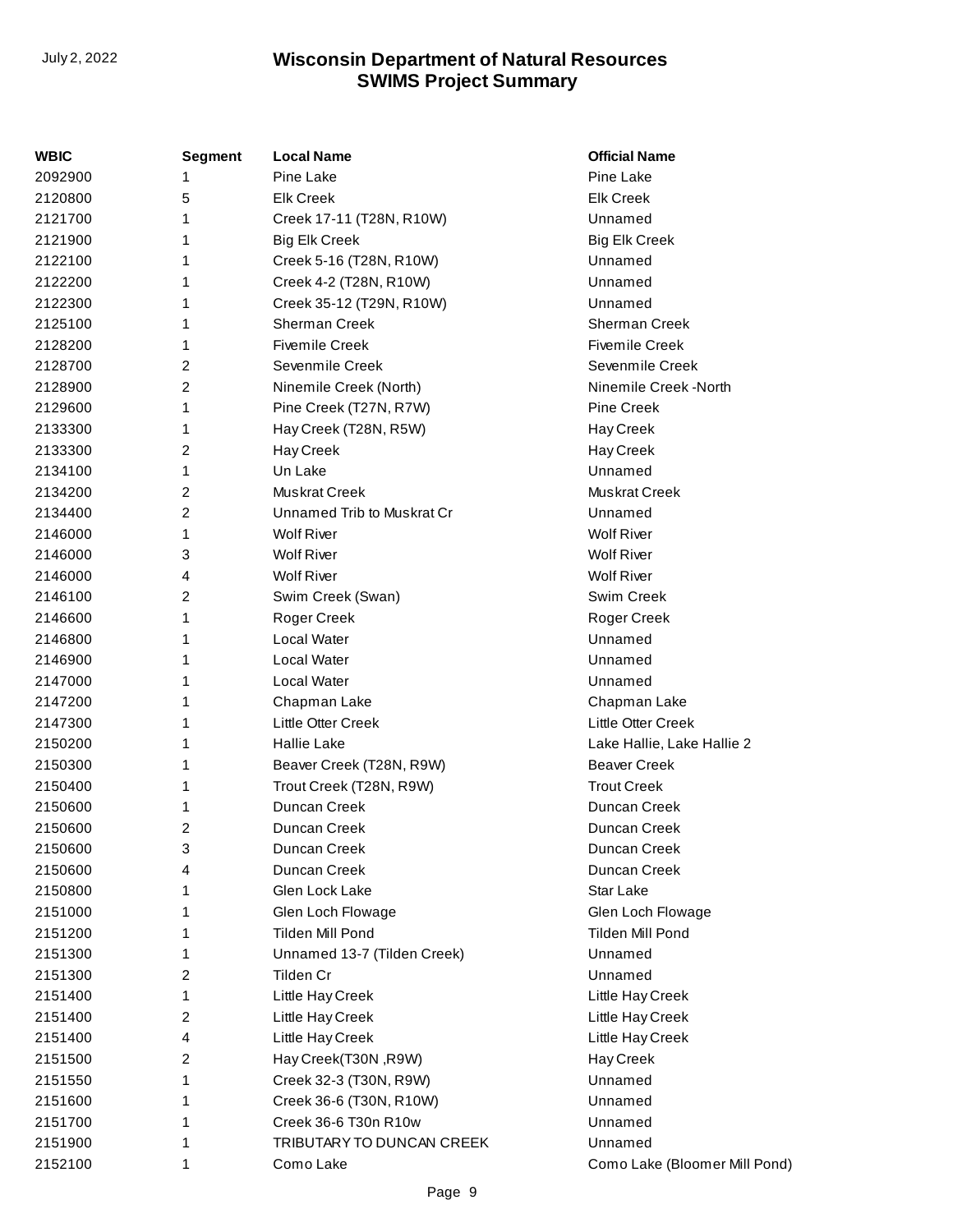| WBIC    | <b>Segment</b> | <b>Local Name</b>           | <b>Official Name</b>          |
|---------|----------------|-----------------------------|-------------------------------|
| 2092900 |                | Pine Lake                   | Pine Lake                     |
| 2120800 | 5              | <b>Elk Creek</b>            | <b>Elk Creek</b>              |
| 2121700 | 1              | Creek 17-11 (T28N, R10W)    | Unnamed                       |
| 2121900 | 1              | <b>Big Elk Creek</b>        | <b>Big Elk Creek</b>          |
| 2122100 | 1              | Creek 5-16 (T28N, R10W)     | Unnamed                       |
| 2122200 | 1              | Creek 4-2 (T28N, R10W)      | Unnamed                       |
| 2122300 | 1              | Creek 35-12 (T29N, R10W)    | Unnamed                       |
| 2125100 | 1              | Sherman Creek               | <b>Sherman Creek</b>          |
| 2128200 | 1              | <b>Fivemile Creek</b>       | <b>Fivemile Creek</b>         |
| 2128700 | 2              | Sevenmile Creek             | Sevenmile Creek               |
| 2128900 | 2              | Ninemile Creek (North)      | Ninemile Creek -North         |
| 2129600 | 1              | Pine Creek (T27N, R7W)      | Pine Creek                    |
| 2133300 | 1              | Hay Creek (T28N, R5W)       | Hay Creek                     |
| 2133300 | 2              | Hay Creek                   | Hay Creek                     |
| 2134100 | 1              | Un Lake                     | Unnamed                       |
| 2134200 | 2              | Muskrat Creek               | <b>Muskrat Creek</b>          |
| 2134400 | 2              | Unnamed Trib to Muskrat Cr  | Unnamed                       |
| 2146000 | 1              | <b>Wolf River</b>           | <b>Wolf River</b>             |
| 2146000 | 3              | <b>Wolf River</b>           | <b>Wolf River</b>             |
| 2146000 | 4              | <b>Wolf River</b>           | <b>Wolf River</b>             |
| 2146100 | 2              | Swim Creek (Swan)           | Swim Creek                    |
| 2146600 | 1              | Roger Creek                 | Roger Creek                   |
| 2146800 | 1              | Local Water                 | Unnamed                       |
| 2146900 | 1              | <b>Local Water</b>          | Unnamed                       |
| 2147000 | 1              | <b>Local Water</b>          | Unnamed                       |
| 2147200 | 1              | Chapman Lake                | Chapman Lake                  |
| 2147300 | 1              | Little Otter Creek          | Little Otter Creek            |
| 2150200 | 1              | <b>Hallie Lake</b>          | Lake Hallie, Lake Hallie 2    |
| 2150300 | 1              | Beaver Creek (T28N, R9W)    | <b>Beaver Creek</b>           |
| 2150400 | 1              | Trout Creek (T28N, R9W)     | <b>Trout Creek</b>            |
| 2150600 | 1              | Duncan Creek                | Duncan Creek                  |
| 2150600 | 2              | Duncan Creek                | Duncan Creek                  |
| 2150600 | 3              | Duncan Creek                | Duncan Creek                  |
| 2150600 | 4              | Duncan Creek                | Duncan Creek                  |
| 2150800 | 1              | Glen Lock Lake              | Star Lake                     |
| 2151000 | 1              | Glen Loch Flowage           | Glen Loch Flowage             |
| 2151200 | 1              | Tilden Mill Pond            | Tilden Mill Pond              |
| 2151300 | 1              | Unnamed 13-7 (Tilden Creek) | Unnamed                       |
| 2151300 | 2              | Tilden Cr                   | Unnamed                       |
| 2151400 | 1              | Little Hay Creek            | Little Hay Creek              |
| 2151400 | 2              | Little Hay Creek            | Little Hay Creek              |
| 2151400 | 4              | Little Hay Creek            | Little Hay Creek              |
| 2151500 | 2              | Hay Creek(T30N, R9W)        | Hay Creek                     |
| 2151550 | 1              | Creek 32-3 (T30N, R9W)      | Unnamed                       |
| 2151600 | 1              | Creek 36-6 (T30N, R10W)     | Unnamed                       |
| 2151700 | 1              | Creek 36-6 T30n R10w        | Unnamed                       |
| 2151900 | 1              | TRIBUTARY TO DUNCAN CREEK   | Unnamed                       |
| 2152100 | 1              | Como Lake                   | Como Lake (Bloomer Mill Pond) |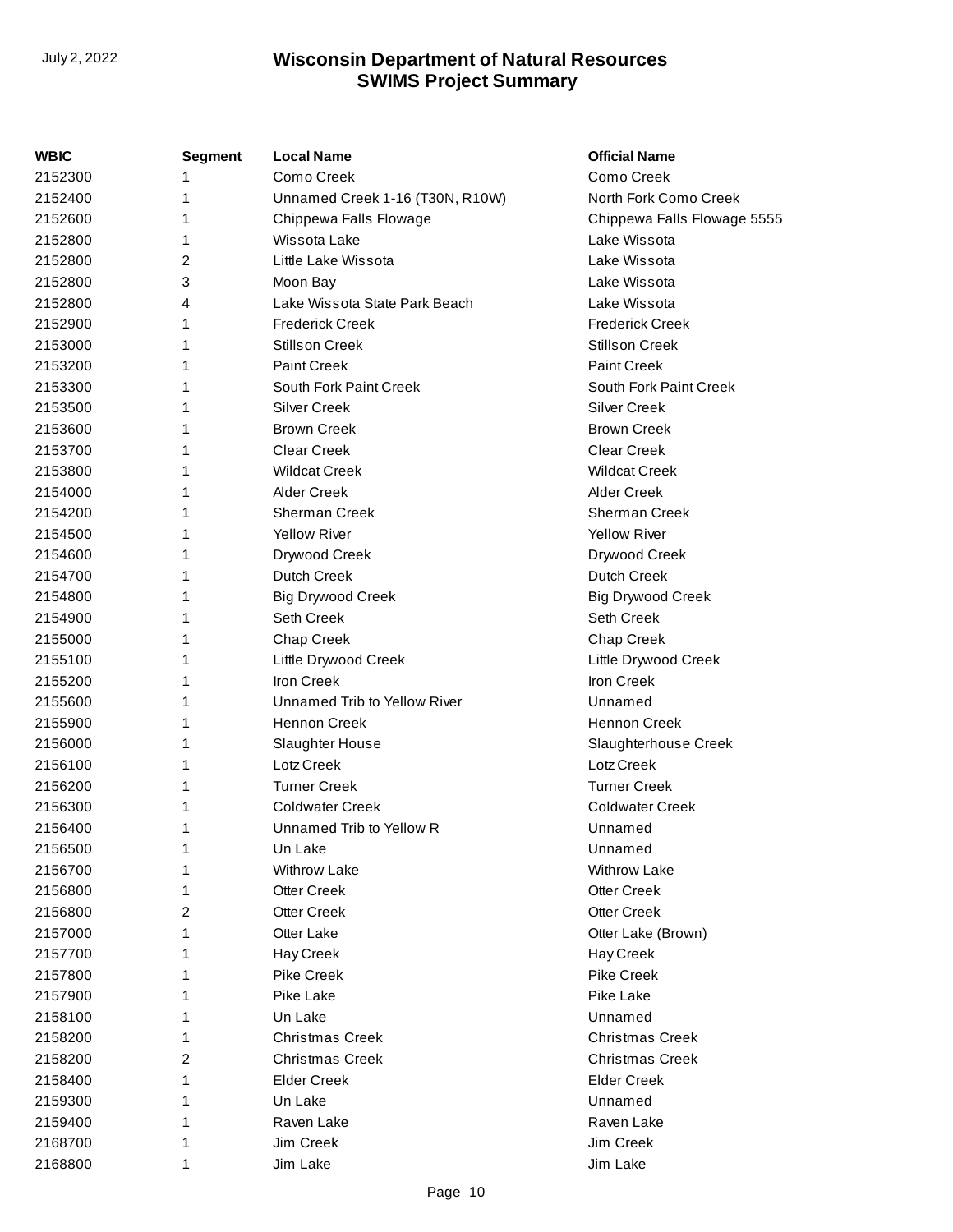| WBIC    | <b>Segment</b> | <b>Local Name</b>               | <b>Official Name</b>        |
|---------|----------------|---------------------------------|-----------------------------|
| 2152300 |                | Como Creek                      | Como Creek                  |
| 2152400 | 1              | Unnamed Creek 1-16 (T30N, R10W) | North Fork Como Creek       |
| 2152600 | 1              | Chippewa Falls Flowage          | Chippewa Falls Flowage 5555 |
| 2152800 | 1              | Wissota Lake                    | Lake Wissota                |
| 2152800 | 2              | Little Lake Wissota             | Lake Wissota                |
| 2152800 | 3              | Moon Bay                        | Lake Wissota                |
| 2152800 | 4              | Lake Wissota State Park Beach   | Lake Wissota                |
| 2152900 | 1              | <b>Frederick Creek</b>          | <b>Frederick Creek</b>      |
| 2153000 | 1              | <b>Stillson Creek</b>           | <b>Stillson Creek</b>       |
| 2153200 | 1              | <b>Paint Creek</b>              | <b>Paint Creek</b>          |
| 2153300 |                | South Fork Paint Creek          | South Fork Paint Creek      |
| 2153500 | 1              | <b>Silver Creek</b>             | <b>Silver Creek</b>         |
| 2153600 | 1              | <b>Brown Creek</b>              | <b>Brown Creek</b>          |
| 2153700 | 1              | <b>Clear Creek</b>              | <b>Clear Creek</b>          |
| 2153800 |                | <b>Wildcat Creek</b>            | <b>Wildcat Creek</b>        |
| 2154000 | 1              | <b>Alder Creek</b>              | <b>Alder Creek</b>          |
| 2154200 | 1              | <b>Sherman Creek</b>            | Sherman Creek               |
| 2154500 | 1              | <b>Yellow River</b>             | <b>Yellow River</b>         |
| 2154600 | 1              | Drywood Creek                   | Drywood Creek               |
| 2154700 | 1              | Dutch Creek                     | <b>Dutch Creek</b>          |
| 2154800 | 1              | <b>Big Drywood Creek</b>        | <b>Big Drywood Creek</b>    |
| 2154900 | 1              | Seth Creek                      | Seth Creek                  |
| 2155000 |                | Chap Creek                      | Chap Creek                  |
| 2155100 | 1              | Little Drywood Creek            | Little Drywood Creek        |
| 2155200 | 1              | <b>Iron Creek</b>               | <b>Iron Creek</b>           |
| 2155600 | 1              | Unnamed Trib to Yellow River    | Unnamed                     |
| 2155900 | 1              | <b>Hennon Creek</b>             | <b>Hennon Creek</b>         |
| 2156000 | 1              | Slaughter House                 | Slaughterhouse Creek        |
| 2156100 | 1              | Lotz Creek                      | Lotz Creek                  |
| 2156200 | 1              | <b>Turner Creek</b>             | <b>Turner Creek</b>         |
| 2156300 | 1              | <b>Coldwater Creek</b>          | <b>Coldwater Creek</b>      |
| 2156400 | 1              | Unnamed Trib to Yellow R        | Unnamed                     |
| 2156500 | 1              | Un Lake                         | Unnamed                     |
| 2156700 |                | <b>Withrow Lake</b>             | <b>Withrow Lake</b>         |
| 2156800 |                | <b>Otter Creek</b>              | <b>Otter Creek</b>          |
| 2156800 | 2              | <b>Otter Creek</b>              | <b>Otter Creek</b>          |
| 2157000 | 1              | Otter Lake                      | Otter Lake (Brown)          |
| 2157700 | 1              | Hay Creek                       | Hay Creek                   |
| 2157800 |                | Pike Creek                      | <b>Pike Creek</b>           |
| 2157900 |                | Pike Lake                       | Pike Lake                   |
| 2158100 |                | Un Lake                         | Unnamed                     |
| 2158200 | 1              | <b>Christmas Creek</b>          | <b>Christmas Creek</b>      |
| 2158200 | 2              | <b>Christmas Creek</b>          | <b>Christmas Creek</b>      |
| 2158400 | 1              | <b>Elder Creek</b>              | <b>Elder Creek</b>          |
| 2159300 |                | Un Lake                         | Unnamed                     |
| 2159400 | 1              | Raven Lake                      | Raven Lake                  |
| 2168700 |                | Jim Creek                       | Jim Creek                   |
| 2168800 | 1              | Jim Lake                        | Jim Lake                    |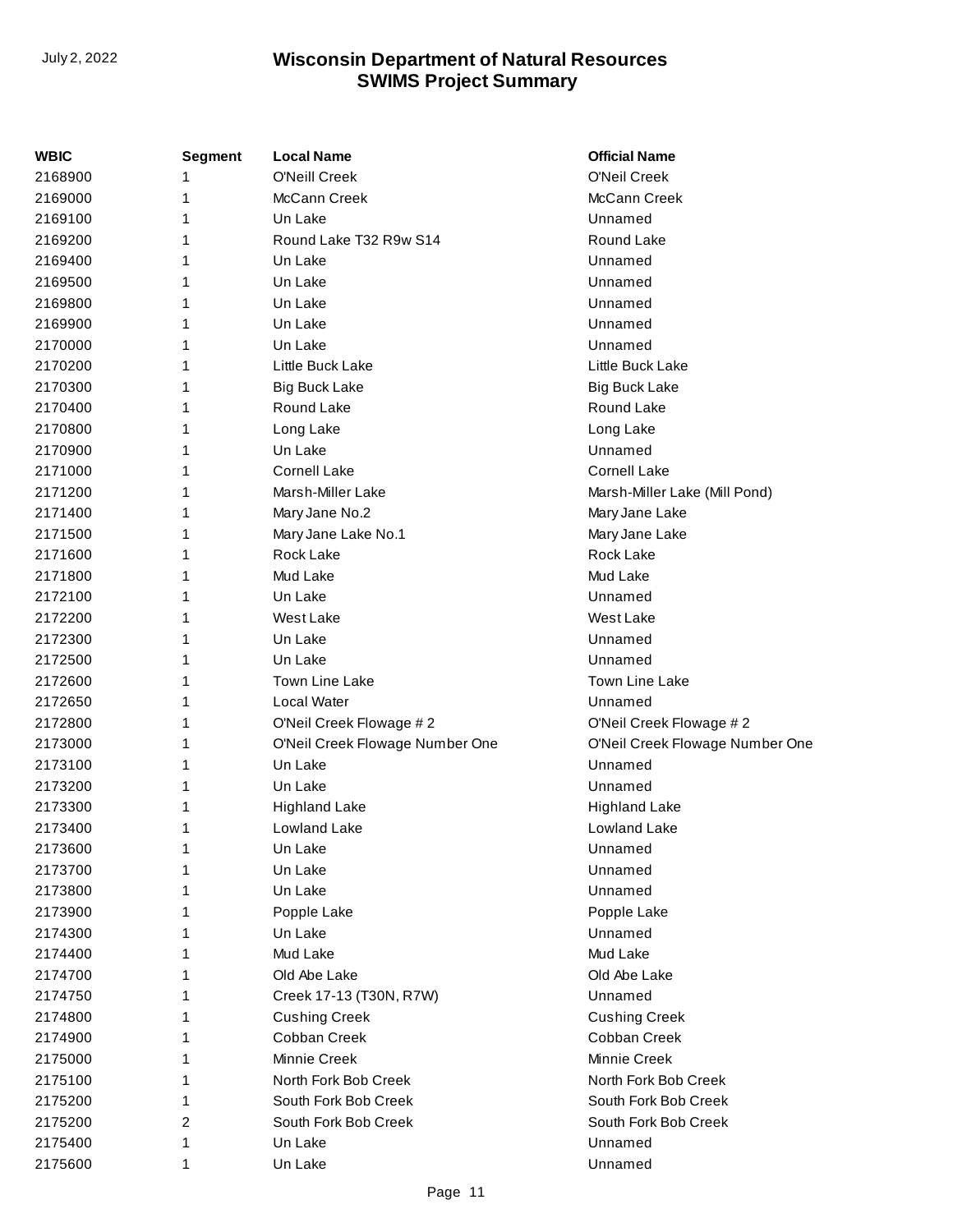| WBIC    | <b>Segment</b> | <b>Local Name</b>               | <b>Official Name</b>            |
|---------|----------------|---------------------------------|---------------------------------|
| 2168900 | 1              | <b>O'Neill Creek</b>            | O'Neil Creek                    |
| 2169000 | 1              | McCann Creek                    | McCann Creek                    |
| 2169100 | 1              | Un Lake                         | Unnamed                         |
| 2169200 | 1              | Round Lake T32 R9w S14          | Round Lake                      |
| 2169400 | 1              | Un Lake                         | Unnamed                         |
| 2169500 | 1              | Un Lake                         | Unnamed                         |
| 2169800 | 1              | Un Lake                         | Unnamed                         |
| 2169900 | 1              | Un Lake                         | Unnamed                         |
| 2170000 | 1              | Un Lake                         | Unnamed                         |
| 2170200 | 1              | Little Buck Lake                | Little Buck Lake                |
| 2170300 | 1              | <b>Big Buck Lake</b>            | <b>Big Buck Lake</b>            |
| 2170400 | 1              | Round Lake                      | Round Lake                      |
| 2170800 | 1              | Long Lake                       | Long Lake                       |
| 2170900 | 1              | Un Lake                         | Unnamed                         |
| 2171000 | 1              | <b>Cornell Lake</b>             | <b>Cornell Lake</b>             |
| 2171200 | 1              | Marsh-Miller Lake               | Marsh-Miller Lake (Mill Pond)   |
| 2171400 | 1              | Mary Jane No.2                  | Mary Jane Lake                  |
| 2171500 | 1              | Mary Jane Lake No.1             | Mary Jane Lake                  |
| 2171600 | 1              | Rock Lake                       | Rock Lake                       |
| 2171800 | 1              | Mud Lake                        | Mud Lake                        |
| 2172100 | 1              | Un Lake                         | Unnamed                         |
| 2172200 | 1              | West Lake                       | West Lake                       |
| 2172300 | 1              | Un Lake                         | Unnamed                         |
| 2172500 | 1              | Un Lake                         | Unnamed                         |
| 2172600 | 1              | <b>Town Line Lake</b>           | Town Line Lake                  |
| 2172650 | 1              | Local Water                     | Unnamed                         |
| 2172800 | 1              | O'Neil Creek Flowage #2         | O'Neil Creek Flowage #2         |
| 2173000 | 1              | O'Neil Creek Flowage Number One | O'Neil Creek Flowage Number One |
| 2173100 | 1              | Un Lake                         | Unnamed                         |
| 2173200 | 1              | Un Lake                         | Unnamed                         |
| 2173300 | 1              | <b>Highland Lake</b>            | <b>Highland Lake</b>            |
| 2173400 | 1              | Lowland Lake                    | Lowland Lake                    |
| 2173600 | 1              | Un Lake                         | Unnamed                         |
| 2173700 | 1              | Un Lake                         | Unnamed                         |
| 2173800 | 1              | Un Lake                         | Unnamed                         |
| 2173900 | 1              | Popple Lake                     | Popple Lake                     |
| 2174300 | 1              | Un Lake                         | Unnamed                         |
| 2174400 | 1              | Mud Lake                        | Mud Lake                        |
| 2174700 | 1              | Old Abe Lake                    | Old Abe Lake                    |
| 2174750 | 1              | Creek 17-13 (T30N, R7W)         | Unnamed                         |
| 2174800 | 1              | <b>Cushing Creek</b>            | <b>Cushing Creek</b>            |
| 2174900 | 1              | Cobban Creek                    | Cobban Creek                    |
| 2175000 | 1              | Minnie Creek                    | Minnie Creek                    |
| 2175100 | 1              | North Fork Bob Creek            | North Fork Bob Creek            |
| 2175200 | 1              | South Fork Bob Creek            | South Fork Bob Creek            |
| 2175200 | 2              | South Fork Bob Creek            | South Fork Bob Creek            |
| 2175400 | 1              | Un Lake                         | Unnamed                         |
| 2175600 | 1              | Un Lake                         | Unnamed                         |
|         |                |                                 |                                 |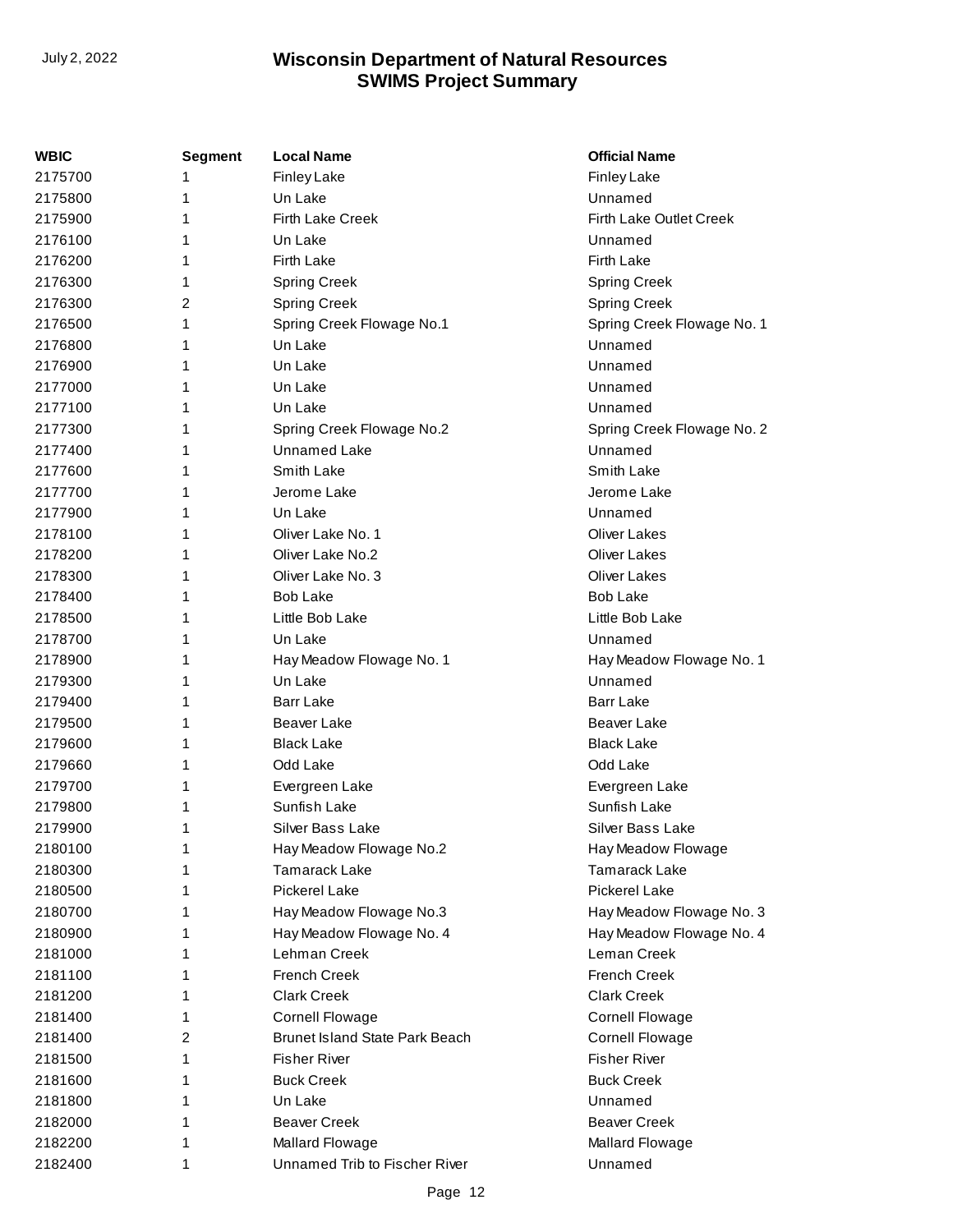| WBIC    | <b>Segment</b> | <b>Local Name</b>                     | <b>Official Name</b>       |
|---------|----------------|---------------------------------------|----------------------------|
| 2175700 |                | <b>Finley Lake</b>                    | <b>Finley Lake</b>         |
| 2175800 | 1              | Un Lake                               | Unnamed                    |
| 2175900 | 1              | Firth Lake Creek                      | Firth Lake Outlet Creek    |
| 2176100 | 1              | Un Lake                               | Unnamed                    |
| 2176200 | 1              | Firth Lake                            | <b>Firth Lake</b>          |
| 2176300 | 1              | Spring Creek                          | <b>Spring Creek</b>        |
| 2176300 | 2              | <b>Spring Creek</b>                   | <b>Spring Creek</b>        |
| 2176500 | 1              | Spring Creek Flowage No.1             | Spring Creek Flowage No. 1 |
| 2176800 | 1              | Un Lake                               | Unnamed                    |
| 2176900 | 1              | Un Lake                               | Unnamed                    |
| 2177000 | 1              | Un Lake                               | Unnamed                    |
| 2177100 | 1              | Un Lake                               | Unnamed                    |
| 2177300 | 1              | Spring Creek Flowage No.2             | Spring Creek Flowage No. 2 |
| 2177400 | 1              | <b>Unnamed Lake</b>                   | Unnamed                    |
| 2177600 | 1              | Smith Lake                            | Smith Lake                 |
| 2177700 | 1              | Jerome Lake                           | Jerome Lake                |
| 2177900 | 1              | Un Lake                               | Unnamed                    |
| 2178100 | 1              | Oliver Lake No. 1                     | <b>Oliver Lakes</b>        |
| 2178200 | 1              | Oliver Lake No.2                      | <b>Oliver Lakes</b>        |
| 2178300 | 1              | Oliver Lake No. 3                     | <b>Oliver Lakes</b>        |
| 2178400 | 1              | <b>Bob Lake</b>                       | <b>Bob Lake</b>            |
| 2178500 | 1              | Little Bob Lake                       | Little Bob Lake            |
| 2178700 | 1              | Un Lake                               | Unnamed                    |
| 2178900 | 1              | Hay Meadow Flowage No. 1              | Hay Meadow Flowage No. 1   |
| 2179300 | 1              | Un Lake                               | Unnamed                    |
| 2179400 | 1              | <b>Barr Lake</b>                      | <b>Barr Lake</b>           |
| 2179500 | 1              | Beaver Lake                           | Beaver Lake                |
| 2179600 | 1              | <b>Black Lake</b>                     | <b>Black Lake</b>          |
| 2179660 | 1              | Odd Lake                              | Odd Lake                   |
| 2179700 | 1              | Evergreen Lake                        | Evergreen Lake             |
| 2179800 | 1              | Sunfish Lake                          | Sunfish Lake               |
| 2179900 | 1              | Silver Bass Lake                      | Silver Bass Lake           |
| 2180100 | 1              | Hay Meadow Flowage No.2               | Hay Meadow Flowage         |
| 2180300 | 1              | <b>Tamarack Lake</b>                  | <b>Tamarack Lake</b>       |
| 2180500 | 1              | Pickerel Lake                         | <b>Pickerel Lake</b>       |
| 2180700 | 1              | Hay Meadow Flowage No.3               | Hay Meadow Flowage No. 3   |
| 2180900 | 1              | Hay Meadow Flowage No. 4              | Hay Meadow Flowage No. 4   |
| 2181000 | 1              | Lehman Creek                          | Leman Creek                |
| 2181100 | 1              | <b>French Creek</b>                   | French Creek               |
| 2181200 | 1              | <b>Clark Creek</b>                    | <b>Clark Creek</b>         |
| 2181400 | 1              | <b>Cornell Flowage</b>                | <b>Cornell Flowage</b>     |
| 2181400 | 2              | <b>Brunet Island State Park Beach</b> | <b>Cornell Flowage</b>     |
| 2181500 | 1              | <b>Fisher River</b>                   | <b>Fisher River</b>        |
| 2181600 | 1              | <b>Buck Creek</b>                     | <b>Buck Creek</b>          |
| 2181800 | 1              | Un Lake                               | Unnamed                    |
| 2182000 | 1              | <b>Beaver Creek</b>                   | <b>Beaver Creek</b>        |
| 2182200 | 1              | Mallard Flowage                       | Mallard Flowage            |
| 2182400 | 1              | Unnamed Trib to Fischer River         | Unnamed                    |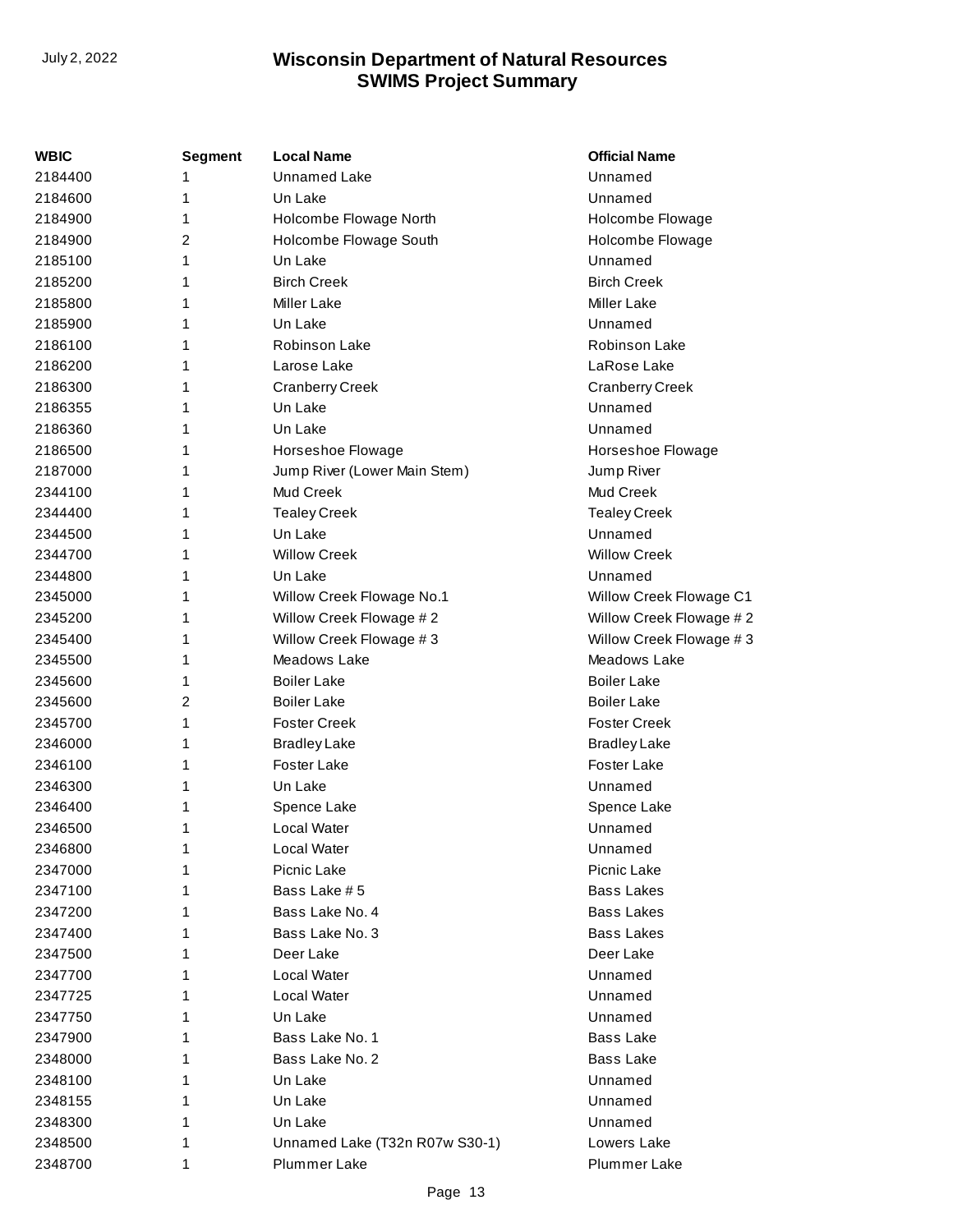| WBIC    | <b>Segment</b> | <b>Local Name</b>              | <b>Official Name</b>    |
|---------|----------------|--------------------------------|-------------------------|
| 2184400 | 1              | <b>Unnamed Lake</b>            | Unnamed                 |
| 2184600 | 1              | Un Lake                        | Unnamed                 |
| 2184900 | 1              | Holcombe Flowage North         | Holcombe Flowage        |
| 2184900 | $\overline{2}$ | Holcombe Flowage South         | Holcombe Flowage        |
| 2185100 | 1              | Un Lake                        | Unnamed                 |
| 2185200 | 1              | <b>Birch Creek</b>             | <b>Birch Creek</b>      |
| 2185800 | 1              | <b>Miller Lake</b>             | <b>Miller Lake</b>      |
| 2185900 | 1              | Un Lake                        | Unnamed                 |
| 2186100 | 1              | Robinson Lake                  | Robinson Lake           |
| 2186200 | 1              | Larose Lake                    | LaRose Lake             |
| 2186300 | 1              | <b>Cranberry Creek</b>         | <b>Cranberry Creek</b>  |
| 2186355 | 1              | Un Lake                        | Unnamed                 |
| 2186360 | 1              | Un Lake                        | Unnamed                 |
| 2186500 | 1              | Horseshoe Flowage              | Horseshoe Flowage       |
| 2187000 | 1              | Jump River (Lower Main Stem)   | Jump River              |
| 2344100 | 1              | Mud Creek                      | Mud Creek               |
| 2344400 | 1              | <b>Tealey Creek</b>            | <b>Tealey Creek</b>     |
| 2344500 | 1              | Un Lake                        | Unnamed                 |
| 2344700 | 1              | <b>Willow Creek</b>            | <b>Willow Creek</b>     |
| 2344800 | 1              | Un Lake                        | Unnamed                 |
| 2345000 | 1              | Willow Creek Flowage No.1      | Willow Creek Flowage C1 |
| 2345200 | 1              | Willow Creek Flowage #2        | Willow Creek Flowage #2 |
| 2345400 | 1              | Willow Creek Flowage #3        | Willow Creek Flowage #3 |
| 2345500 | 1              | Meadows Lake                   | Meadows Lake            |
| 2345600 | 1              | <b>Boiler Lake</b>             | <b>Boiler Lake</b>      |
| 2345600 | 2              | <b>Boiler Lake</b>             | <b>Boiler Lake</b>      |
| 2345700 | 1              | <b>Foster Creek</b>            | <b>Foster Creek</b>     |
| 2346000 | 1              | <b>Bradley Lake</b>            | <b>Bradley Lake</b>     |
| 2346100 | 1              | Foster Lake                    | Foster Lake             |
| 2346300 | 1              | Un Lake                        | Unnamed                 |
| 2346400 | 1              | Spence Lake                    | Spence Lake             |
| 2346500 | 1              | Local Water                    | Unnamed                 |
| 2346800 | 1              | Local Water                    | Unnamed                 |
| 2347000 | 1              | Picnic Lake                    | Picnic Lake             |
| 2347100 | 1              | Bass Lake #5                   | <b>Bass Lakes</b>       |
| 2347200 | 1              | Bass Lake No. 4                | <b>Bass Lakes</b>       |
| 2347400 | 1              | Bass Lake No. 3                | <b>Bass Lakes</b>       |
| 2347500 | 1              | Deer Lake                      | Deer Lake               |
| 2347700 | 1              | Local Water                    | Unnamed                 |
| 2347725 | 1              | Local Water                    | Unnamed                 |
| 2347750 | 1              | Un Lake                        | Unnamed                 |
| 2347900 | 1              | Bass Lake No. 1                | <b>Bass Lake</b>        |
| 2348000 | 1              | Bass Lake No. 2                | <b>Bass Lake</b>        |
| 2348100 | 1              | Un Lake                        | Unnamed                 |
| 2348155 | 1              | Un Lake                        | Unnamed                 |
| 2348300 | 1              | Un Lake                        | Unnamed                 |
| 2348500 | 1              | Unnamed Lake (T32n R07w S30-1) | Lowers Lake             |
| 2348700 | 1              | <b>Plummer Lake</b>            | Plummer Lake            |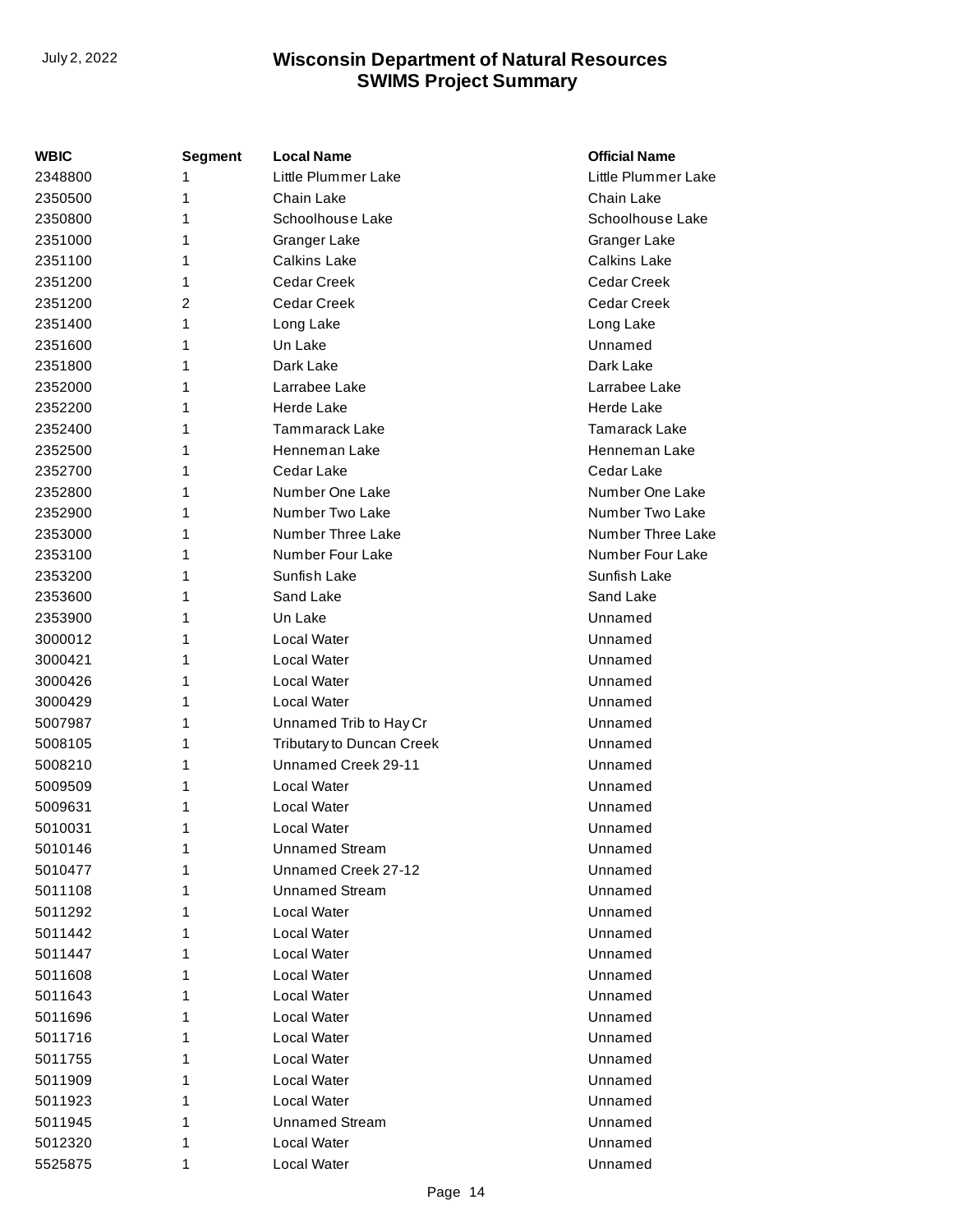| WBIC    | <b>Segment</b> | <b>Local Name</b>         | <b>Official Name</b> |
|---------|----------------|---------------------------|----------------------|
| 2348800 | 1              | Little Plummer Lake       | Little Plummer Lake  |
| 2350500 | 1              | Chain Lake                | Chain Lake           |
| 2350800 | 1              | Schoolhouse Lake          | Schoolhouse Lake     |
| 2351000 | 1              | Granger Lake              | Granger Lake         |
| 2351100 | 1              | <b>Calkins Lake</b>       | <b>Calkins Lake</b>  |
| 2351200 | 1              | Cedar Creek               | Cedar Creek          |
| 2351200 | $\overline{2}$ | Cedar Creek               | Cedar Creek          |
| 2351400 | 1              | Long Lake                 | Long Lake            |
| 2351600 | 1              | Un Lake                   | Unnamed              |
| 2351800 | 1              | Dark Lake                 | Dark Lake            |
| 2352000 | 1              | Larrabee Lake             | Larrabee Lake        |
| 2352200 | 1              | Herde Lake                | Herde Lake           |
| 2352400 | 1              | <b>Tammarack Lake</b>     | Tamarack Lake        |
| 2352500 | 1              | Henneman Lake             | Henneman Lake        |
| 2352700 | 1              | Cedar Lake                | Cedar Lake           |
| 2352800 | 1              | Number One Lake           | Number One Lake      |
| 2352900 | 1              | Number Two Lake           | Number Two Lake      |
| 2353000 | 1              | Number Three Lake         | Number Three Lake    |
| 2353100 | 1              | Number Four Lake          | Number Four Lake     |
| 2353200 | 1              | Sunfish Lake              | Sunfish Lake         |
| 2353600 | 1              | Sand Lake                 | Sand Lake            |
| 2353900 | 1              | Un Lake                   | Unnamed              |
| 3000012 | 1              | Local Water               | Unnamed              |
| 3000421 | 1              | Local Water               | Unnamed              |
| 3000426 | 1              | Local Water               | Unnamed              |
| 3000429 | 1              | Local Water               | Unnamed              |
| 5007987 | 1              | Unnamed Trib to Hay Cr    | Unnamed              |
| 5008105 | 1              | Tributary to Duncan Creek | Unnamed              |
| 5008210 | 1              | Unnamed Creek 29-11       | Unnamed              |
| 5009509 | 1              | Local Water               | Unnamed              |
| 5009631 | 1              | Local Water               | Unnamed              |
| 5010031 | 1              | Local Water               | Unnamed              |
| 5010146 | 1              | <b>Unnamed Stream</b>     | Unnamed              |
| 5010477 | 1              | Unnamed Creek 27-12       | Unnamed              |
| 5011108 | 1              | <b>Unnamed Stream</b>     | Unnamed              |
| 5011292 | 1              | Local Water               | Unnamed              |
| 5011442 | 1              | Local Water               | Unnamed              |
| 5011447 | 1              | Local Water               | Unnamed              |
| 5011608 | 1              | Local Water               | Unnamed              |
| 5011643 | 1              | Local Water               | Unnamed              |
| 5011696 | 1              | Local Water               | Unnamed              |
| 5011716 | 1              | Local Water               | Unnamed              |
| 5011755 | 1              | Local Water               | Unnamed              |
| 5011909 | 1              | Local Water               | Unnamed              |
| 5011923 | 1              | Local Water               | Unnamed              |
| 5011945 | 1              | <b>Unnamed Stream</b>     | Unnamed              |
| 5012320 | 1              | Local Water               | Unnamed              |
| 5525875 | 1              | Local Water               | Unnamed              |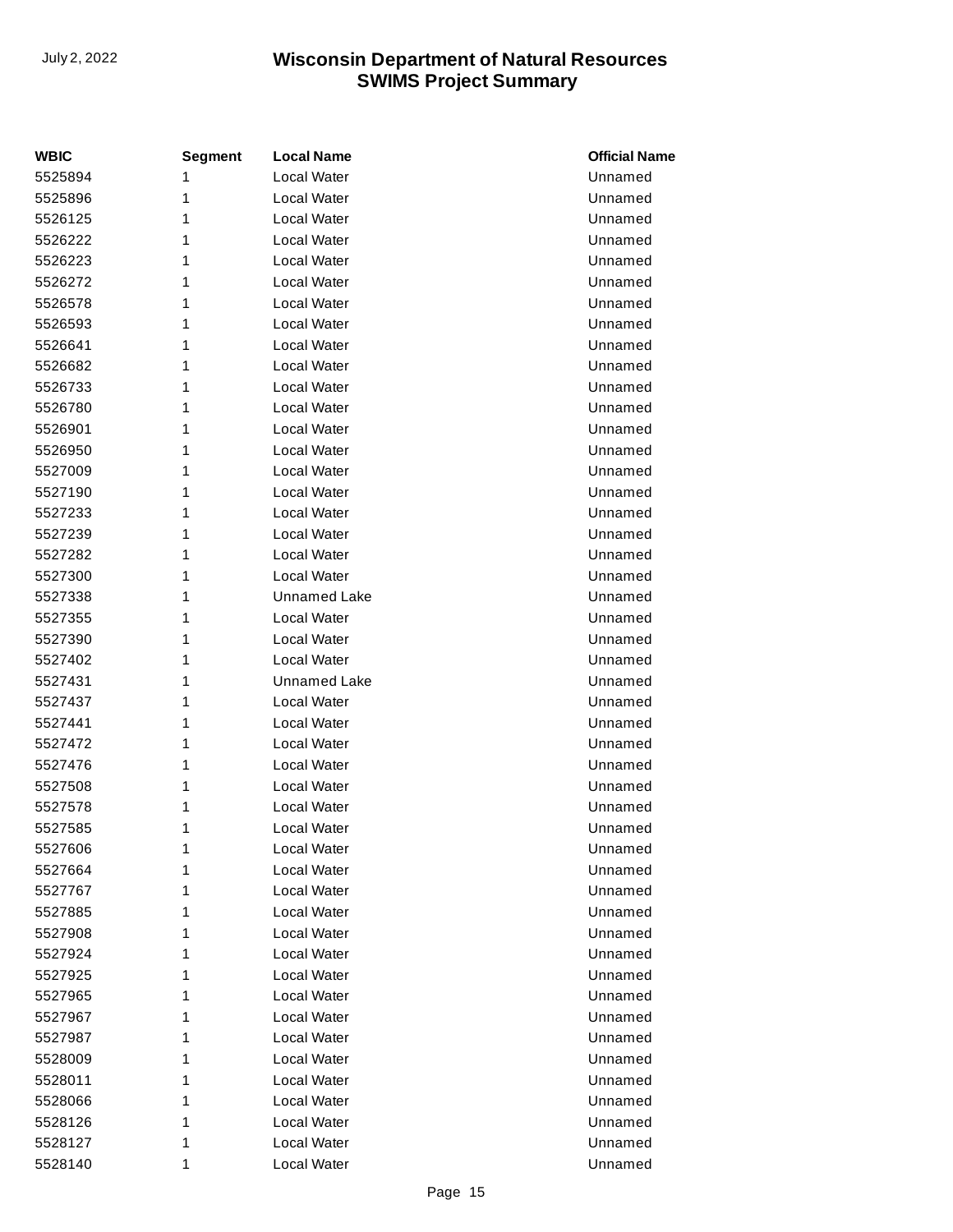| <b>WBIC</b> | <b>Segment</b> | <b>Local Name</b>  | <b>Official Name</b> |
|-------------|----------------|--------------------|----------------------|
| 5525894     | 1              | <b>Local Water</b> | Unnamed              |
| 5525896     | 1              | Local Water        | Unnamed              |
| 5526125     | 1              | Local Water        | Unnamed              |
| 5526222     | 1              | Local Water        | Unnamed              |
| 5526223     | 1              | Local Water        | Unnamed              |
| 5526272     | 1              | <b>Local Water</b> | Unnamed              |
| 5526578     | 1              | Local Water        | Unnamed              |
| 5526593     | 1              | Local Water        | Unnamed              |
| 5526641     | 1              | Local Water        | Unnamed              |
| 5526682     | 1              | Local Water        | Unnamed              |
| 5526733     | 1              | Local Water        | Unnamed              |
| 5526780     | 1              | Local Water        | Unnamed              |
| 5526901     | 1              | Local Water        | Unnamed              |
| 5526950     | 1              | <b>Local Water</b> | Unnamed              |
| 5527009     | 1              | Local Water        | Unnamed              |
| 5527190     | 1              | Local Water        | Unnamed              |
| 5527233     | 1              | Local Water        | Unnamed              |
| 5527239     | 1              | Local Water        | Unnamed              |
| 5527282     | 1              | Local Water        | Unnamed              |
| 5527300     | 1              | Local Water        | Unnamed              |
| 5527338     | 1              | Unnamed Lake       | Unnamed              |
| 5527355     | 1              | Local Water        | Unnamed              |
| 5527390     | 1              | Local Water        | Unnamed              |
| 5527402     | 1              | Local Water        | Unnamed              |
| 5527431     | 1              | Unnamed Lake       | Unnamed              |
| 5527437     | 1              | Local Water        | Unnamed              |
| 5527441     | 1              | Local Water        | Unnamed              |
| 5527472     | 1              | <b>Local Water</b> | Unnamed              |
| 5527476     | 1              | Local Water        | Unnamed              |
| 5527508     | 1              | <b>Local Water</b> | Unnamed              |
| 5527578     | 1              | Local Water        | Unnamed              |
| 5527585     | 1              | Local Water        | Unnamed              |
| 5527606     | 1              | Local Water        | Unnamed              |
| 5527664     | 1              | Local Water        | Unnamed              |
| 5527767     | 1              | Local Water        | Unnamed              |
| 5527885     | 1              | Local Water        | Unnamed              |
| 5527908     | 1              | Local Water        | Unnamed              |
| 5527924     | 1              | Local Water        | Unnamed              |
| 5527925     | 1              | Local Water        | Unnamed              |
| 5527965     | 1              | Local Water        | Unnamed              |
| 5527967     | 1              | Local Water        | Unnamed              |
| 5527987     | 1              | Local Water        | Unnamed              |
| 5528009     | 1              | Local Water        | Unnamed              |
| 5528011     | 1              | Local Water        | Unnamed              |
| 5528066     | 1              | Local Water        | Unnamed              |
| 5528126     | 1              | Local Water        | Unnamed              |
| 5528127     | 1              | Local Water        | Unnamed              |
| 5528140     | 1              | Local Water        | Unnamed              |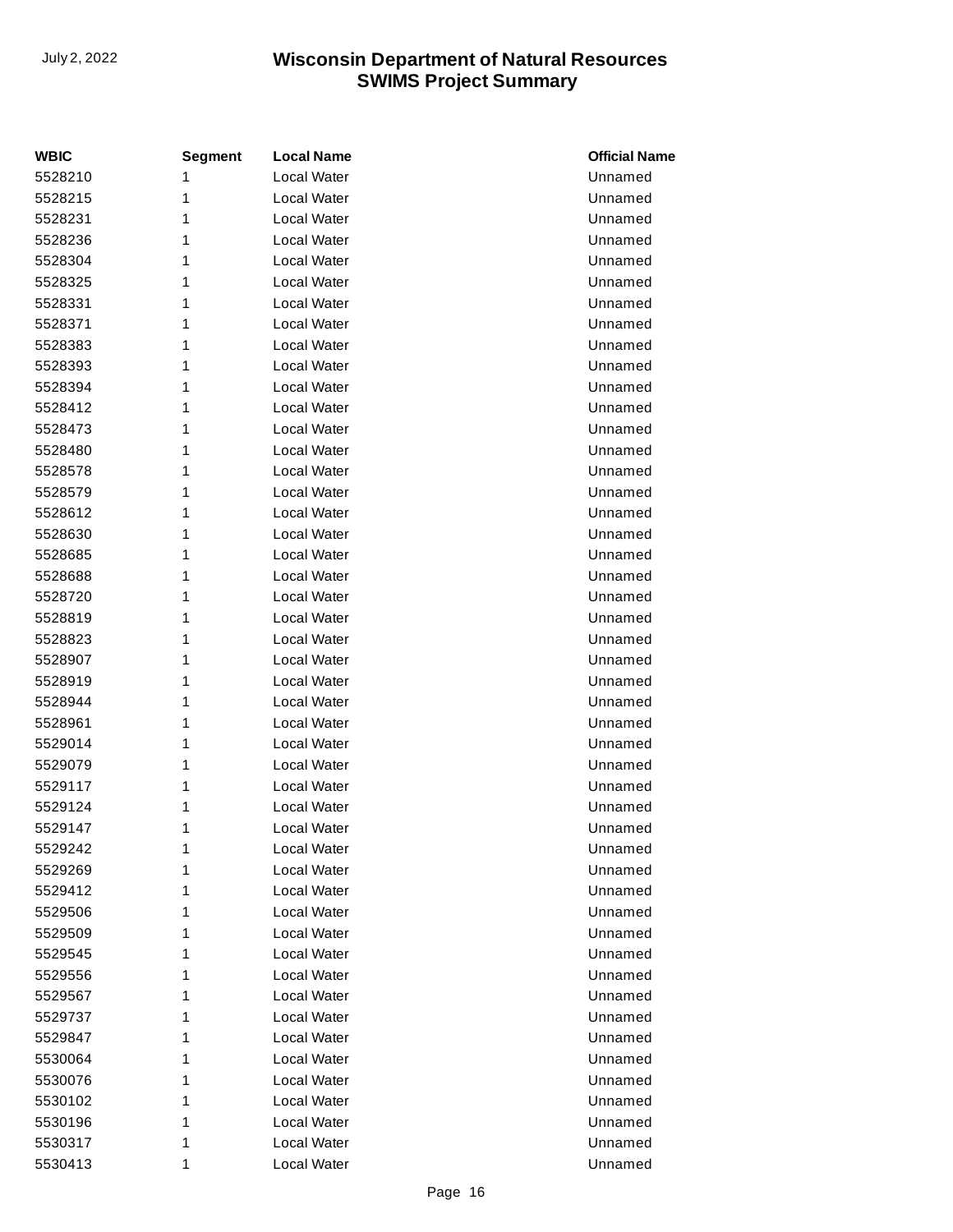| <b>WBIC</b> | <b>Segment</b> | <b>Local Name</b>  | <b>Official Name</b> |
|-------------|----------------|--------------------|----------------------|
| 5528210     | 1              | <b>Local Water</b> | Unnamed              |
| 5528215     | 1              | Local Water        | Unnamed              |
| 5528231     | 1              | Local Water        | Unnamed              |
| 5528236     | 1              | Local Water        | Unnamed              |
| 5528304     | 1              | Local Water        | Unnamed              |
| 5528325     | 1              | <b>Local Water</b> | Unnamed              |
| 5528331     | 1              | Local Water        | Unnamed              |
| 5528371     | 1              | Local Water        | Unnamed              |
| 5528383     | 1              | Local Water        | Unnamed              |
| 5528393     | 1              | Local Water        | Unnamed              |
| 5528394     | 1              | Local Water        | Unnamed              |
| 5528412     | 1              | Local Water        | Unnamed              |
| 5528473     | 1              | Local Water        | Unnamed              |
| 5528480     | 1              | <b>Local Water</b> | Unnamed              |
| 5528578     | 1              | Local Water        | Unnamed              |
| 5528579     | 1              | Local Water        | Unnamed              |
| 5528612     | 1              | Local Water        | Unnamed              |
| 5528630     | 1              | Local Water        | Unnamed              |
| 5528685     | 1              | Local Water        | Unnamed              |
| 5528688     | 1              | Local Water        | Unnamed              |
| 5528720     | 1              | Local Water        | Unnamed              |
| 5528819     | 1              | <b>Local Water</b> | Unnamed              |
| 5528823     | 1              | Local Water        | Unnamed              |
| 5528907     | 1              | Local Water        | Unnamed              |
| 5528919     | 1              | Local Water        | Unnamed              |
| 5528944     | 1              | Local Water        | Unnamed              |
| 5528961     | 1              | Local Water        | Unnamed              |
| 5529014     | 1              | Local Water        | Unnamed              |
| 5529079     | 1              | Local Water        | Unnamed              |
| 5529117     | 1              | Local Water        | Unnamed              |
| 5529124     | 1              | Local Water        | Unnamed              |
| 5529147     | 1              | Local Water        | Unnamed              |
| 5529242     | 1              | Local Water        | Unnamed              |
| 5529269     | 1              | Local Water        | Unnamed              |
| 5529412     | 1              | Local Water        | Unnamed              |
| 5529506     | 1              | Local Water        | Unnamed              |
| 5529509     | 1              | Local Water        | Unnamed              |
| 5529545     | 1              | Local Water        | Unnamed              |
| 5529556     | 1              | Local Water        | Unnamed              |
| 5529567     | 1              | Local Water        | Unnamed              |
| 5529737     | 1              | Local Water        | Unnamed              |
| 5529847     | 1              | Local Water        | Unnamed              |
| 5530064     | 1              | Local Water        | Unnamed              |
| 5530076     | 1              | Local Water        | Unnamed              |
| 5530102     | 1              | Local Water        | Unnamed              |
| 5530196     | 1              | Local Water        | Unnamed              |
| 5530317     | 1              | Local Water        | Unnamed              |
| 5530413     | 1              | Local Water        | Unnamed              |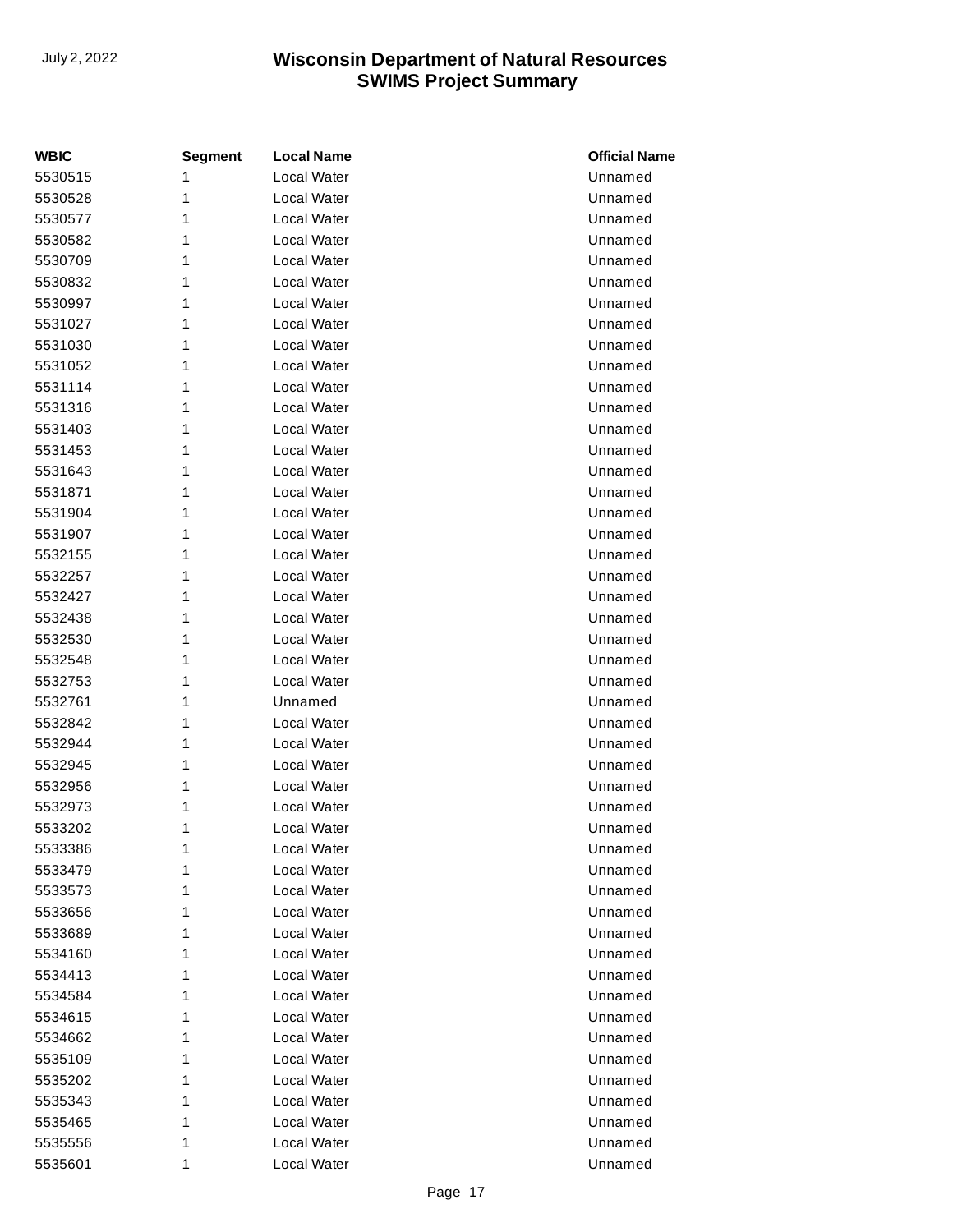| <b>WBIC</b> | <b>Segment</b> | <b>Local Name</b> | <b>Official Name</b> |
|-------------|----------------|-------------------|----------------------|
| 5530515     | 1              | Local Water       | Unnamed              |
| 5530528     | 1              | Local Water       | Unnamed              |
| 5530577     | 1              | Local Water       | Unnamed              |
| 5530582     | 1              | Local Water       | Unnamed              |
| 5530709     | 1              | Local Water       | Unnamed              |
| 5530832     | 1              | Local Water       | Unnamed              |
| 5530997     | 1              | Local Water       | Unnamed              |
| 5531027     | 1              | Local Water       | Unnamed              |
| 5531030     | 1              | Local Water       | Unnamed              |
| 5531052     | 1              | Local Water       | Unnamed              |
| 5531114     | 1              | Local Water       | Unnamed              |
| 5531316     | 1              | Local Water       | Unnamed              |
| 5531403     | 1              | Local Water       | Unnamed              |
| 5531453     | 1              | Local Water       | Unnamed              |
| 5531643     | 1              | Local Water       | Unnamed              |
| 5531871     | 1              | Local Water       | Unnamed              |
| 5531904     | 1              | Local Water       | Unnamed              |
| 5531907     | 1              | Local Water       | Unnamed              |
| 5532155     | 1              | Local Water       | Unnamed              |
| 5532257     | 1              | Local Water       | Unnamed              |
| 5532427     | 1              | Local Water       | Unnamed              |
| 5532438     | 1              | Local Water       | Unnamed              |
| 5532530     | 1              | Local Water       | Unnamed              |
| 5532548     | 1              | Local Water       | Unnamed              |
| 5532753     | 1              | Local Water       | Unnamed              |
| 5532761     | 1              | Unnamed           | Unnamed              |
| 5532842     | 1              | Local Water       | Unnamed              |
| 5532944     | 1              | Local Water       | Unnamed              |
| 5532945     | 1              | Local Water       | Unnamed              |
| 5532956     | 1              | Local Water       | Unnamed              |
| 5532973     | 1              | Local Water       | Unnamed              |
| 5533202     | 1              | Local Water       | Unnamed              |
| 5533386     | 1              | Local Water       | Unnamed              |
| 5533479     | 1              | Local Water       | Unnamed              |
| 5533573     | 1              | Local Water       | Unnamed              |
| 5533656     | 1              | Local Water       | Unnamed              |
| 5533689     | 1              | Local Water       | Unnamed              |
| 5534160     | 1              | Local Water       | Unnamed              |
| 5534413     | 1              | Local Water       | Unnamed              |
| 5534584     | 1              | Local Water       | Unnamed              |
| 5534615     | 1              | Local Water       | Unnamed              |
| 5534662     | 1              | Local Water       | Unnamed              |
| 5535109     | 1              | Local Water       | Unnamed              |
| 5535202     | 1              | Local Water       | Unnamed              |
| 5535343     | 1              | Local Water       | Unnamed              |
| 5535465     | 1              | Local Water       | Unnamed              |
| 5535556     | 1              | Local Water       | Unnamed              |
| 5535601     | 1              | Local Water       | Unnamed              |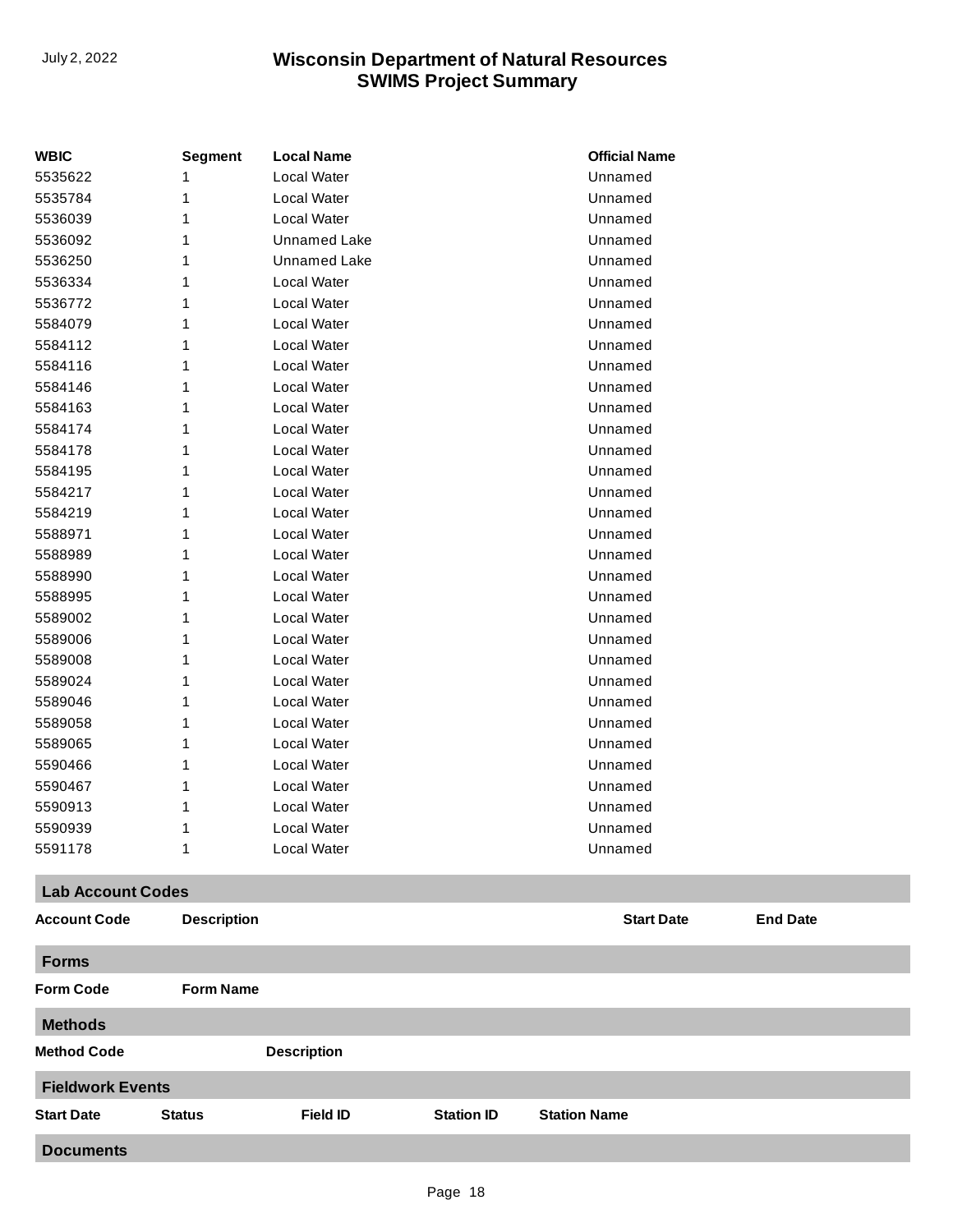| <b>WBIC</b>              | <b>Segment</b>     | <b>Local Name</b>   | <b>Official Name</b>                 |  |  |
|--------------------------|--------------------|---------------------|--------------------------------------|--|--|
| 5535622                  | 1                  | Local Water         | Unnamed                              |  |  |
| 5535784                  | 1                  | Local Water         | Unnamed                              |  |  |
| 5536039                  |                    | Local Water         | Unnamed                              |  |  |
| 5536092                  |                    | <b>Unnamed Lake</b> | Unnamed                              |  |  |
| 5536250                  |                    | Unnamed Lake        | Unnamed                              |  |  |
| 5536334                  |                    | Local Water         | Unnamed                              |  |  |
| 5536772                  |                    | Local Water         | Unnamed                              |  |  |
| 5584079                  |                    | Local Water         | Unnamed                              |  |  |
| 5584112                  |                    | Local Water         | Unnamed                              |  |  |
| 5584116                  |                    | Local Water         | Unnamed                              |  |  |
| 5584146                  |                    | Local Water         | Unnamed                              |  |  |
| 5584163                  |                    | Local Water         | Unnamed                              |  |  |
| 5584174                  |                    | Local Water         | Unnamed                              |  |  |
| 5584178                  |                    | Local Water         | Unnamed                              |  |  |
| 5584195                  |                    | Local Water         | Unnamed                              |  |  |
| 5584217                  |                    | Local Water         | Unnamed                              |  |  |
| 5584219                  |                    | Local Water         | Unnamed                              |  |  |
| 5588971                  |                    | Local Water         | Unnamed                              |  |  |
| 5588989                  |                    | Local Water         | Unnamed                              |  |  |
| 5588990                  |                    | Local Water         | Unnamed                              |  |  |
| 5588995                  |                    | Local Water         | Unnamed                              |  |  |
| 5589002                  |                    | Local Water         | Unnamed                              |  |  |
| 5589006                  |                    | Local Water         | Unnamed                              |  |  |
| 5589008                  |                    | Local Water         | Unnamed                              |  |  |
| 5589024                  |                    | Local Water         | Unnamed                              |  |  |
| 5589046                  |                    | Local Water         | Unnamed                              |  |  |
| 5589058                  |                    | Local Water         | Unnamed                              |  |  |
| 5589065                  |                    | Local Water         | Unnamed                              |  |  |
| 5590466                  |                    | Local Water         | Unnamed                              |  |  |
| 5590467                  |                    | Local Water         | Unnamed                              |  |  |
| 5590913                  | 1                  | Local Water         | Unnamed                              |  |  |
| 5590939                  | 1                  | Local Water         | Unnamed                              |  |  |
| 5591178                  | 1                  | Local Water         | Unnamed                              |  |  |
| <b>Lab Account Codes</b> |                    |                     |                                      |  |  |
| <b>Account Code</b>      | <b>Description</b> |                     | <b>Start Date</b><br><b>End Date</b> |  |  |
| <b>Forms</b>             |                    |                     |                                      |  |  |
| <b>Form Code</b>         | <b>Form Name</b>   |                     |                                      |  |  |
| <b>Methods</b>           |                    |                     |                                      |  |  |
| <b>Method Code</b>       |                    | <b>Description</b>  |                                      |  |  |
| <b>Fieldwork Events</b>  |                    |                     |                                      |  |  |

**Documents**

**Start Date Status Field ID Station ID Station Name**